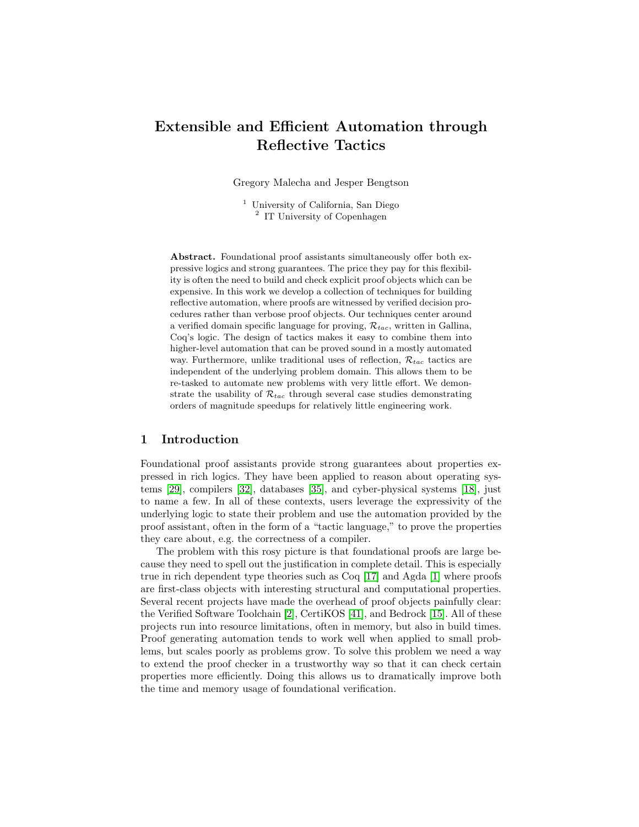# Extensible and Efficient Automation through Reflective Tactics

Gregory Malecha and Jesper Bengtson

<sup>1</sup> University of California, San Diego <sup>2</sup> IT University of Copenhagen

Abstract. Foundational proof assistants simultaneously offer both expressive logics and strong guarantees. The price they pay for this flexibility is often the need to build and check explicit proof objects which can be expensive. In this work we develop a collection of techniques for building reflective automation, where proofs are witnessed by verified decision procedures rather than verbose proof objects. Our techniques center around a verified domain specific language for proving,  $\mathcal{R}_{tac}$ , written in Gallina, Coq's logic. The design of tactics makes it easy to combine them into higher-level automation that can be proved sound in a mostly automated way. Furthermore, unlike traditional uses of reflection,  $\mathcal{R}_{tac}$  tactics are independent of the underlying problem domain. This allows them to be re-tasked to automate new problems with very little effort. We demonstrate the usability of  $\mathcal{R}_{tac}$  through several case studies demonstrating orders of magnitude speedups for relatively little engineering work.

### 1 Introduction

Foundational proof assistants provide strong guarantees about properties expressed in rich logics. They have been applied to reason about operating systems [\[29\]](#page-26-0), compilers [\[32\]](#page-26-1), databases [\[35\]](#page-26-2), and cyber-physical systems [\[18\]](#page-25-0), just to name a few. In all of these contexts, users leverage the expressivity of the underlying logic to state their problem and use the automation provided by the proof assistant, often in the form of a "tactic language," to prove the properties they care about, e.g. the correctness of a compiler.

The problem with this rosy picture is that foundational proofs are large because they need to spell out the justification in complete detail. This is especially true in rich dependent type theories such as Coq [\[17\]](#page-25-1) and Agda [\[1\]](#page-24-0) where proofs are first-class objects with interesting structural and computational properties. Several recent projects have made the overhead of proof objects painfully clear: the Verified Software Toolchain [\[2\]](#page-24-1), CertiKOS [\[41\]](#page-26-3), and Bedrock [\[15\]](#page-25-2). All of these projects run into resource limitations, often in memory, but also in build times. Proof generating automation tends to work well when applied to small problems, but scales poorly as problems grow. To solve this problem we need a way to extend the proof checker in a trustworthy way so that it can check certain properties more efficiently. Doing this allows us to dramatically improve both the time and memory usage of foundational verification.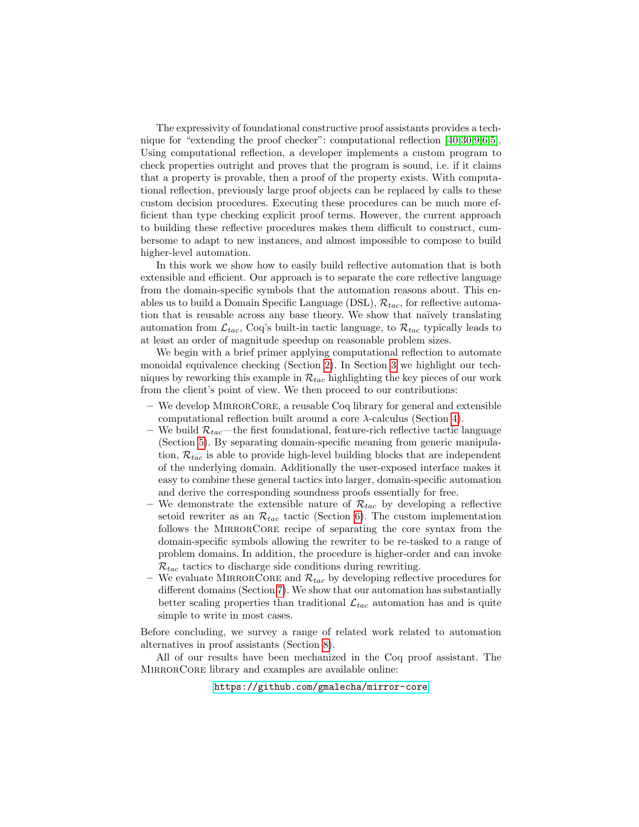The expressivity of foundational constructive proof assistants provides a technique for "extending the proof checker": computational reflection [\[40,](#page-26-4)[30,](#page-26-5)[9,](#page-25-3)[6,](#page-25-4)[5\]](#page-25-5). Using computational reflection, a developer implements a custom program to check properties outright and proves that the program is sound, i.e. if it claims that a property is provable, then a proof of the property exists. With computational reflection, previously large proof objects can be replaced by calls to these custom decision procedures. Executing these procedures can be much more efficient than type checking explicit proof terms. However, the current approach to building these reflective procedures makes them difficult to construct, cumbersome to adapt to new instances, and almost impossible to compose to build higher-level automation.

In this work we show how to easily build reflective automation that is both extensible and efficient. Our approach is to separate the core reflective language from the domain-specific symbols that the automation reasons about. This enables us to build a Domain Specific Language (DSL),  $\mathcal{R}_{tac}$ , for reflective automation that is reusable across any base theory. We show that naïvely translating automation from  $\mathcal{L}_{tac}$ , Coq's built-in tactic language, to  $\mathcal{R}_{tac}$  typically leads to at least an order of magnitude speedup on reasonable problem sizes.

We begin with a brief primer applying computational reflection to automate monoidal equivalence checking (Section [2\)](#page-2-0). In Section [3](#page-3-0) we highlight our techniques by reworking this example in  $\mathcal{R}_{tac}$  highlighting the key pieces of our work from the client's point of view. We then proceed to our contributions:

- We develop MirrorCore, a reusable Coq library for general and extensible computational reflection built around a core  $\lambda$ -calculus (Section [4\)](#page-5-0).
- We build  $\mathcal{R}_{tac}$ —the first foundational, feature-rich reflective tactic language (Section [5\)](#page-7-0). By separating domain-specific meaning from generic manipulation,  $\mathcal{R}_{tac}$  is able to provide high-level building blocks that are independent of the underlying domain. Additionally the user-exposed interface makes it easy to combine these general tactics into larger, domain-specific automation and derive the corresponding soundness proofs essentially for free.
- We demonstrate the extensible nature of  $\mathcal{R}_{tac}$  by developing a reflective setoid rewriter as an  $\mathcal{R}_{tac}$  tactic (Section [6\)](#page-13-0). The custom implementation follows the MirrorCore recipe of separating the core syntax from the domain-specific symbols allowing the rewriter to be re-tasked to a range of problem domains. In addition, the procedure is higher-order and can invoke  $\mathcal{R}_{tac}$  tactics to discharge side conditions during rewriting.
- We evaluate MIRRORCORE and  $\mathcal{R}_{tac}$  by developing reflective procedures for different domains (Section [7\)](#page-19-0). We show that our automation has substantially better scaling properties than traditional  $\mathcal{L}_{tac}$  automation has and is quite simple to write in most cases.

Before concluding, we survey a range of related work related to automation alternatives in proof assistants (Section [8\)](#page-22-0).

All of our results have been mechanized in the Coq proof assistant. The MIRRORCORE library and examples are available online:

<https://github.com/gmalecha/mirror-core>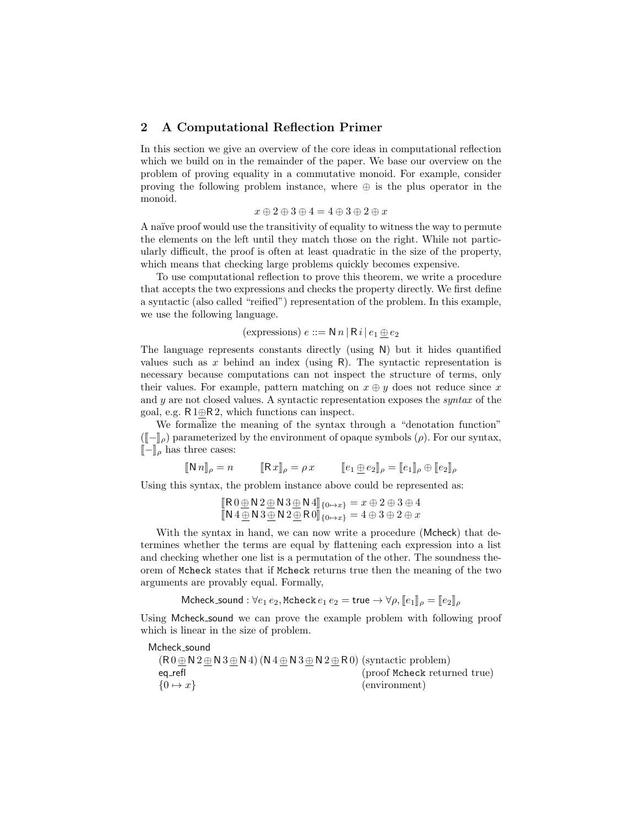### <span id="page-2-0"></span>2 A Computational Reflection Primer

In this section we give an overview of the core ideas in computational reflection which we build on in the remainder of the paper. We base our overview on the problem of proving equality in a commutative monoid. For example, consider proving the following problem instance, where  $\oplus$  is the plus operator in the monoid.

 $x \oplus 2 \oplus 3 \oplus 4 = 4 \oplus 3 \oplus 2 \oplus x$ 

A naïve proof would use the transitivity of equality to witness the way to permute the elements on the left until they match those on the right. While not particularly difficult, the proof is often at least quadratic in the size of the property, which means that checking large problems quickly becomes expensive.

To use computational reflection to prove this theorem, we write a procedure that accepts the two expressions and checks the property directly. We first define a syntactic (also called "reified") representation of the problem. In this example, we use the following language.

### (expressions)  $e ::= \mathsf{N} \, n \, | \, \mathsf{R} \, i \, | \, e_1 \oplus e_2$

The language represents constants directly (using N) but it hides quantified values such as x behind an index (using  $R$ ). The syntactic representation is necessary because computations can not inspect the structure of terms, only their values. For example, pattern matching on  $x \oplus y$  does not reduce since x and  $y$  are not closed values. A syntactic representation exposes the *syntax* of the goal, e.g. R 1⊕R 2, which functions can inspect.

We formalize the meaning of the syntax through a "denotation function"  $(\llbracket - \rrbracket_{\rho})$  parameterized by the environment of opaque symbols  $(\rho)$ . For our syntax,  $\llbracket - \rrbracket_{\rho}$  has three cases:

$$
[\![\mathsf{N}\,n]\!]_\rho = n \qquad [\![\mathsf{R}\,x]\!]_\rho = \rho \, x \qquad [\![e_1 \oplus e_2]\!]_\rho = [\![e_1]\!]_\rho \oplus [\![e_2]\!]_\rho
$$

Using this syntax, the problem instance above could be represented as:

 $\begin{array}{l} \n\left[\mathbb{R}^0 \oplus \mathbb{N}^2 \oplus \mathbb{N}^3 \oplus \mathbb{N}^4\right]_{\{0 \mapsto x\}} = x \oplus 2 \oplus 3 \oplus 4 \n\end{array}$  $[N 4 \underline{\oplus} N 3 \underline{\oplus} N 2 \underline{\oplus} R 0]_{\{0 \mapsto x\}} = 4 \oplus 3 \oplus 2 \oplus x$ 

With the syntax in hand, we can now write a procedure (Mcheck) that determines whether the terms are equal by flattening each expression into a list and checking whether one list is a permutation of the other. The soundness theorem of Mcheck states that if Mcheck returns true then the meaning of the two arguments are provably equal. Formally,

Mcheck\_sound :  $\forall e_1 e_2$ , Mcheck  $e_1 e_2 = \text{true} \rightarrow \forall \rho, [e_1]_{\rho} = [e_2]_{\rho}$ 

Using Mcheck sound we can prove the example problem with following proof which is linear in the size of problem.

Mcheck\_sound  $(R 0 \oplus N 2 \oplus N 3 \oplus N 4)$   $(N 4 \oplus N 3 \oplus N 2 \oplus R 0)$  (syntactic problem) eq refl (proof Mcheck returned true)  $\{0 \mapsto x\}$  (environment)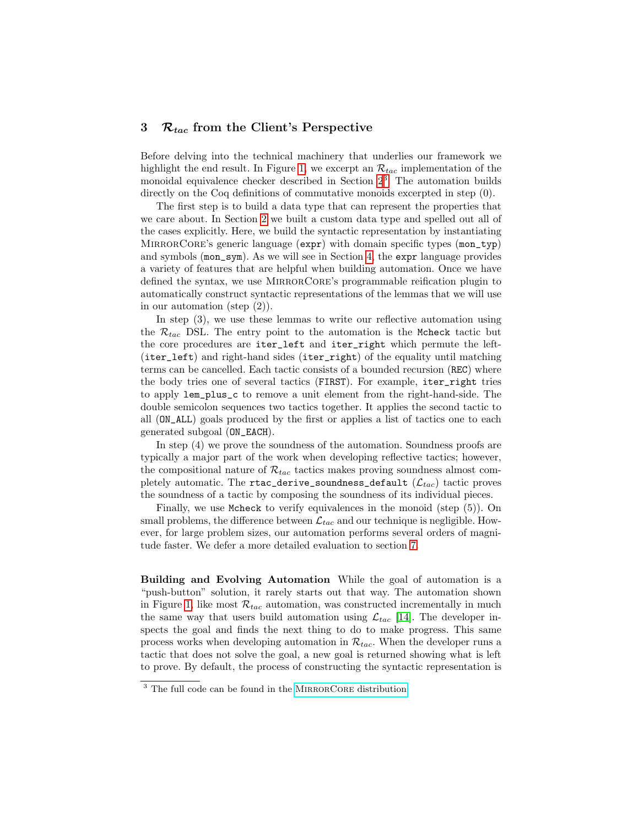# <span id="page-3-0"></span>3  $\mathcal{R}_{tac}$  from the Client's Perspective

Before delving into the technical machinery that underlies our framework we highlight the end result. In Figure [1,](#page-4-0) we excerpt an  $\mathcal{R}_{tac}$  implementation of the monoidal equivalence checker described in Section  $2<sup>3</sup>$  $2<sup>3</sup>$  $2<sup>3</sup>$ . The automation builds directly on the Coq definitions of commutative monoids excerpted in step  $(0)$ .

The first step is to build a data type that can represent the properties that we care about. In Section [2](#page-2-0) we built a custom data type and spelled out all of the cases explicitly. Here, we build the syntactic representation by instantiating MIRRORCORE's generic language  $(\exp r)$  with domain specific types  $(\text{mon\_typ})$ and symbols (mon\_sym). As we will see in Section [4,](#page-5-0) the expr language provides a variety of features that are helpful when building automation. Once we have defined the syntax, we use MirrorCore's programmable reification plugin to automatically construct syntactic representations of the lemmas that we will use in our automation (step (2)).

In step (3), we use these lemmas to write our reflective automation using the  $\mathcal{R}_{tac}$  DSL. The entry point to the automation is the Mcheck tactic but the core procedures are iter\_left and iter\_right which permute the left-(iter\_left) and right-hand sides (iter\_right) of the equality until matching terms can be cancelled. Each tactic consists of a bounded recursion (REC) where the body tries one of several tactics (FIRST). For example, iter\_right tries to apply lem\_plus\_c to remove a unit element from the right-hand-side. The double semicolon sequences two tactics together. It applies the second tactic to all (ON\_ALL) goals produced by the first or applies a list of tactics one to each generated subgoal (ON\_EACH).

In step (4) we prove the soundness of the automation. Soundness proofs are typically a major part of the work when developing reflective tactics; however, the compositional nature of  $\mathcal{R}_{tac}$  tactics makes proving soundness almost completely automatic. The rtac\_derive\_soundness\_default  $(\mathcal{L}_{tac})$  tactic proves the soundness of a tactic by composing the soundness of its individual pieces.

Finally, we use Mcheck to verify equivalences in the monoid (step (5)). On small problems, the difference between  $\mathcal{L}_{tac}$  and our technique is negligible. However, for large problem sizes, our automation performs several orders of magnitude faster. We defer a more detailed evaluation to section [7.](#page-19-0)

Building and Evolving Automation While the goal of automation is a "push-button" solution, it rarely starts out that way. The automation shown in Figure [1,](#page-4-0) like most  $\mathcal{R}_{tac}$  automation, was constructed incrementally in much the same way that users build automation using  $\mathcal{L}_{tac}$  [\[14\]](#page-25-6). The developer inspects the goal and finds the next thing to do to make progress. This same process works when developing automation in  $\mathcal{R}_{tac}$ . When the developer runs a tactic that does not solve the goal, a new goal is returned showing what is left to prove. By default, the process of constructing the syntactic representation is

<span id="page-3-1"></span><sup>&</sup>lt;sup>3</sup> The full code can be found in the MIRRORCORE distribution.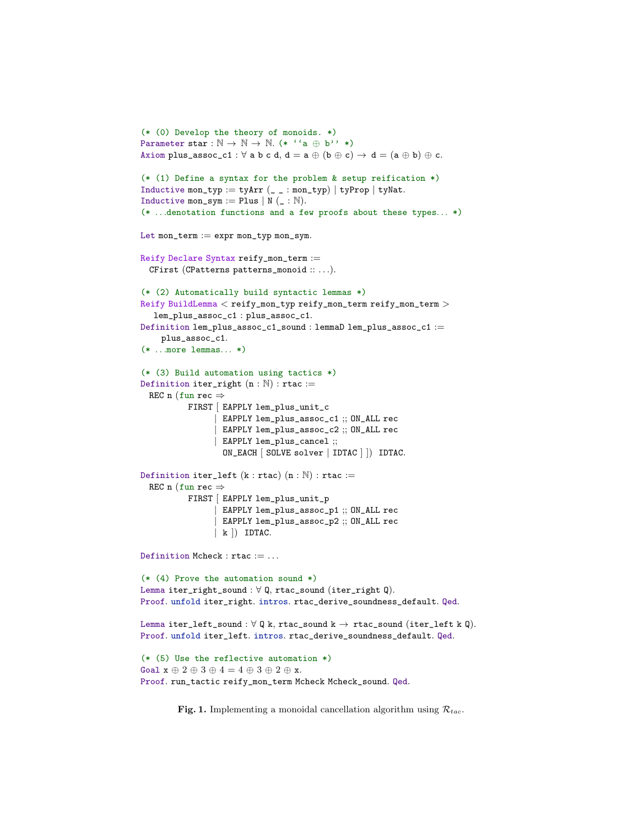```
(* (0) Develop the theory of monoids. *)
Parameter star : \mathbb{N} \to \mathbb{N} \to \mathbb{N}. (* ''a \oplus b'' *)
Axiom plus_assoc_c1 : \forall a b c d, d = a \oplus (b \oplus c) \rightarrow d = (a \oplus b) \oplus c.
(* (1) Define a syntax for the problem & setup reification *)
Inductive mon_typ := tyArr (_ _ : mon_typ) | tyProp | tyNat.
Inductive mon_sym := Plus | N ( . : N).
(* . . .denotation functions and a few proofs about these types. . . *)
Let \texttt{mon\_term} := \texttt{expr mon\_typ mon\_sym}.Reify Declare Syntax reify_mon_term :=
  CFirst (CPatterns patterns_monoid :: . . .).
(* (2) Automatically build syntactic lemmas *)
Reify BuildLemma < reify_mon_typ reify_mon_term reify_mon_term >lem_plus_assoc_c1 : plus_assoc_c1.
\texttt{Definition lem\_plus\_assoc\_c1\_sound}:\texttt{lemma\_new\_assoc\_c1} :=plus_assoc_c1.
(* . . .more lemmas. . . *)
(* (3) Build automation using tactics *)
Definition iter_right (n : N): rtac :=
  REC n (fun rec \RightarrowFIRST [ EAPPLY lem_plus_unit_c
                   | EAPPLY lem_plus_assoc_c1 ;; ON_ALL rec
                   | EAPPLY lem_plus_assoc_c2 ;; ON_ALL rec
                  | EAPPLY lem_plus_cancel ;;
                   ON_EACH [ SOLVE solver | IDTAC ] ]) IDTAC.
Definition iter_left (k : rtac) (n : N) : rtac :=REC n (fun rec \RightarrowFIRST [ EAPPLY lem_plus_unit_p
                 | EAPPLY lem_plus_assoc_p1 ;; ON_ALL rec
                  | EAPPLY lem_plus_assoc_p2 ;; ON_ALL rec
                 | k |) IDTAC.
Definition Mcheck : rtac := ...
(* (4) Prove the automation sound *)
Lemma iter_right_sound : \forall Q, rtac_sound (iter_right Q).
Proof. unfold iter_right. intros. rtac_derive_soundness_default. Qed.
Lemma iter_left_sound : \forall Q k, rtac_sound k \rightarrow rtac_sound (iter_left k Q).
Proof. unfold iter_left. intros. rtac_derive_soundness_default. Qed.
(* (5) Use the reflective automation *)
Goal x \oplus 2 \oplus 3 \oplus 4 = 4 \oplus 3 \oplus 2 \oplus x.
Proof. run_tactic reify_mon_term Mcheck Mcheck_sound. Qed.
```
<span id="page-4-0"></span>Fig. 1. Implementing a monoidal cancellation algorithm using  $\mathcal{R}_{tac}$ .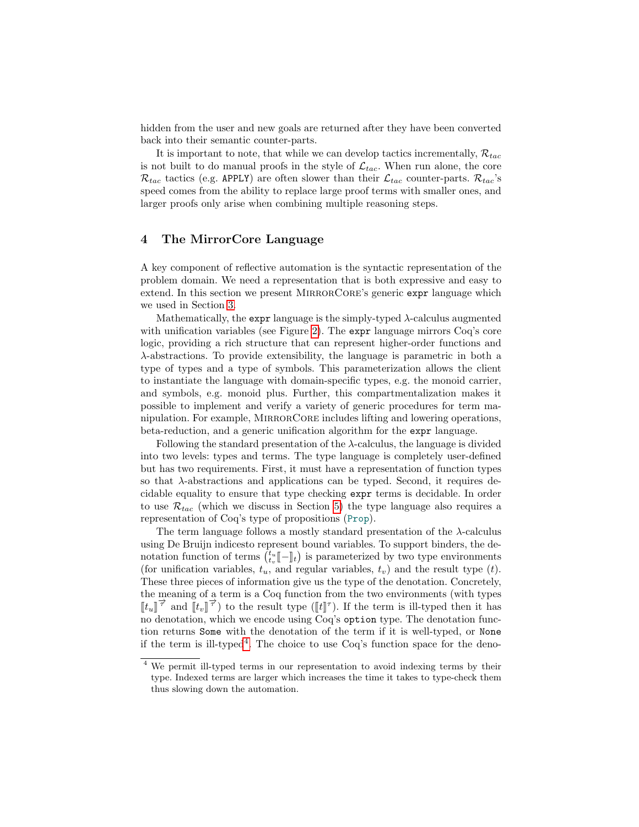hidden from the user and new goals are returned after they have been converted back into their semantic counter-parts.

It is important to note, that while we can develop tactics incrementally,  $\mathcal{R}_{tac}$ is not built to do manual proofs in the style of  $\mathcal{L}_{tac}$ . When run alone, the core  $\mathcal{R}_{tac}$  tactics (e.g. APPLY) are often slower than their  $\mathcal{L}_{tac}$  counter-parts.  $\mathcal{R}_{tac}$ 's speed comes from the ability to replace large proof terms with smaller ones, and larger proofs only arise when combining multiple reasoning steps.

# <span id="page-5-0"></span>4 The MirrorCore Language

A key component of reflective automation is the syntactic representation of the problem domain. We need a representation that is both expressive and easy to extend. In this section we present MIRRORCORE's generic expr language which we used in Section [3.](#page-3-0)

Mathematically, the expr language is the simply-typed  $\lambda$ -calculus augmented with unification variables (see Figure [2\)](#page-6-0). The expr language mirrors Coq's core logic, providing a rich structure that can represent higher-order functions and λ-abstractions. To provide extensibility, the language is parametric in both a type of types and a type of symbols. This parameterization allows the client to instantiate the language with domain-specific types, e.g. the monoid carrier, and symbols, e.g. monoid plus. Further, this compartmentalization makes it possible to implement and verify a variety of generic procedures for term manipulation. For example, MIRRORCORE includes lifting and lowering operations, beta-reduction, and a generic unification algorithm for the expr language.

Following the standard presentation of the  $\lambda$ -calculus, the language is divided into two levels: types and terms. The type language is completely user-defined but has two requirements. First, it must have a representation of function types so that  $\lambda$ -abstractions and applications can be typed. Second, it requires decidable equality to ensure that type checking expr terms is decidable. In order to use  $\mathcal{R}_{tac}$  (which we discuss in Section [5\)](#page-7-0) the type language also requires a representation of Coq's type of propositions (Prop).

The term language follows a mostly standard presentation of the  $\lambda$ -calculus using De Bruijn indicesto represent bound variables. To support binders, the denotation function of terms  $\binom{t_u}{t_v}$  is parameterized by two type environments (for unification variables,  $t_u$ , and regular variables,  $t_v$ ) and the result type (*t*). These three pieces of information give us the type of the denotation. Concretely, the meaning of a term is a Coq function from the two environments (with types  $[[t_u]]^{\overrightarrow{\tau}}$  and  $[[t_v]]^{\overrightarrow{\tau}}$  to the result type  $([t]]^{\tau}$ . If the term is ill-typed then it has<br>no denotation which we encode using Goo's ortion type. The denotation funcno denotation, which we encode using Coq's option type. The denotation function returns Some with the denotation of the term if it is well-typed, or None if the term is ill-typed<sup>[4](#page-5-1)</sup>. The choice to use Coq's function space for the deno-

<span id="page-5-1"></span><sup>&</sup>lt;sup>4</sup> We permit ill-typed terms in our representation to avoid indexing terms by their type. Indexed terms are larger which increases the time it takes to type-check them thus slowing down the automation.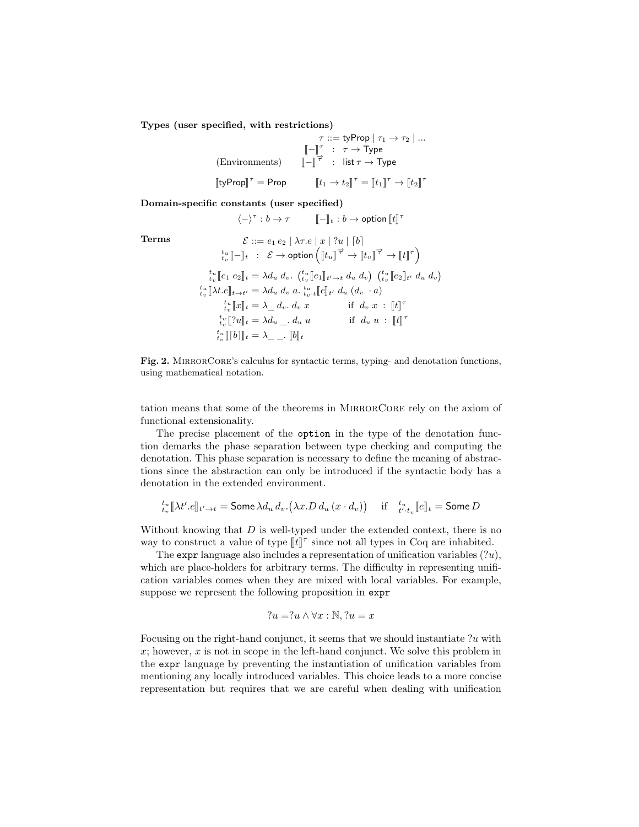Types (user specified, with restrictions)

$$
\tau ::= \text{tyProp} \mid \tau_1 \to \tau_2 \mid \dots
$$
\n
$$
\llbracket - \rrbracket^{\tau} : \tau \to \text{Type}
$$
\n
$$
\llbracket \text{tr} \text{Prop} \rrbracket^{\tau} = \text{Prop} \qquad \llbracket t_1 \to t_2 \rrbracket^{\tau} = \llbracket t_1 \rrbracket^{\tau} \to \llbracket t_2 \rrbracket^{\tau}
$$

Domain-specific constants (user specified)

$$
\langle - \rangle^{\tau} : b \to \tau \qquad \quad [\![-\!]_t : b \to \text{option } [\![t]\!]^{\tau}
$$

Terms

\n
$$
\mathcal{E} ::= e_1 e_2 \mid \lambda \tau. e \mid x \mid ?u \mid [b]
$$
\n
$$
t_v^u \llbracket - \rrbracket_t : \mathcal{E} \to \text{option} \left( \llbracket t_u \rrbracket^{\overrightarrow{\tau}} \to \llbracket t_v \rrbracket^{\overrightarrow{\tau}} \to \llbracket t \rrbracket^{\tau} \right)
$$
\n
$$
t_v^u \llbracket e_1 e_2 \rrbracket_t = \lambda d_u d_v. \quad (t_v^u \llbracket e_1 \rrbracket_{t' \to t} d_u d_v) \quad (t_v^u \llbracket e_2 \rrbracket_{t'} d_u d_v)
$$
\n
$$
t_v^u \llbracket \lambda t. e \rrbracket_{t \to t'} = \lambda d_u d_v a. \quad t_v^u \llbracket e \rrbracket_{t'} d_u (d_v \cdot a)
$$
\n
$$
t_v^u \llbracket x \rrbracket_t = \lambda_- d_v. d_v x \qquad \text{if} \quad d_v x : \llbracket t \rrbracket^{\tau}
$$
\n
$$
t_v^u \llbracket [b] \rrbracket_t = \lambda_{-} - \llbracket b \rrbracket_t
$$
\nif  $d_u u : \llbracket t \rrbracket^{\tau}$ 

<span id="page-6-0"></span>Fig. 2. MIRRORCORE's calculus for syntactic terms, typing- and denotation functions, using mathematical notation.

tation means that some of the theorems in MirrorCore rely on the axiom of functional extensionality.

The precise placement of the option in the type of the denotation function demarks the phase separation between type checking and computing the denotation. This phase separation is necessary to define the meaning of abstractions since the abstraction can only be introduced if the syntactic body has a denotation in the extended environment.

$$
{}_{t_v}^{t_u} [\![\lambda t'.e]\!]_{t'\to t} = \text{Some } \lambda d_u d_v. (\lambda x. D d_u (x \cdot d_v)) \quad \text{if} \quad {}_{t'.t_v}^{t_u} [\![e]\!]_t = \text{Some } D
$$

Without knowing that  $D$  is well-typed under the extended context, there is no way to construct a value of type  $[[t]]^{\tau}$  since not all types in Coq are inhabited.<br>The synx language also includes a representation of unification variables  $(2*u*)$ 

The expr language also includes a representation of unification variables  $(?u)$ , which are place-holders for arbitrary terms. The difficulty in representing unification variables comes when they are mixed with local variables. For example, suppose we represent the following proposition in expr

$$
?u = ?u \wedge \forall x : \mathbb{N}, ?u = x
$$

Focusing on the right-hand conjunct, it seems that we should instantiate  $?u$  with  $x$ ; however,  $x$  is not in scope in the left-hand conjunct. We solve this problem in the expr language by preventing the instantiation of unification variables from mentioning any locally introduced variables. This choice leads to a more concise representation but requires that we are careful when dealing with unification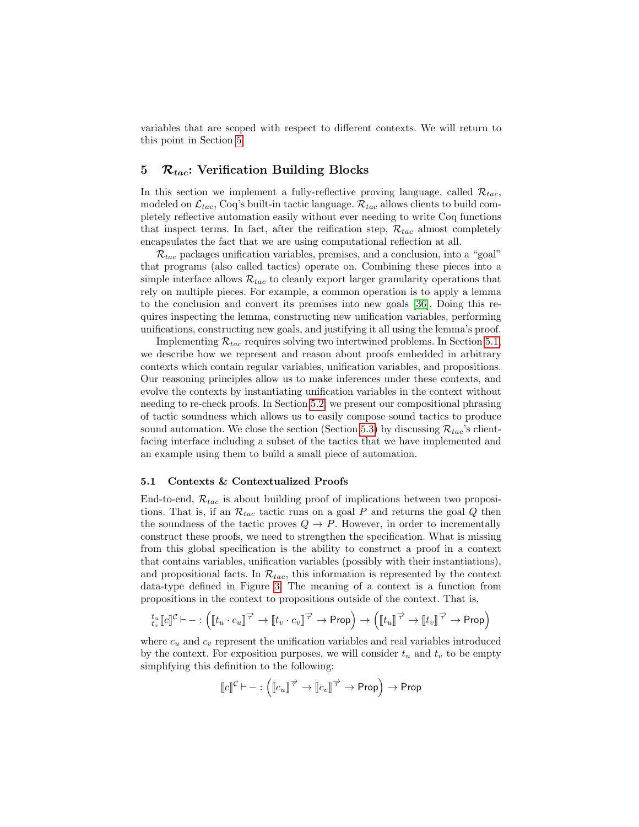variables that are scoped with respect to different contexts. We will return to this point in Section [5.](#page-7-0)

# <span id="page-7-0"></span>5  $\mathcal{R}_{tac}$ : Verification Building Blocks

In this section we implement a fully-reflective proving language, called  $\mathcal{R}_{tac}$ , modeled on  $\mathcal{L}_{tac}$ , Coq's built-in tactic language.  $\mathcal{R}_{tac}$  allows clients to build completely reflective automation easily without ever needing to write Coq functions that inspect terms. In fact, after the reification step,  $\mathcal{R}_{tac}$  almost completely encapsulates the fact that we are using computational reflection at all.

 $\mathcal{R}_{tac}$  packages unification variables, premises, and a conclusion, into a "goal" that programs (also called tactics) operate on. Combining these pieces into a simple interface allows  $\mathcal{R}_{tac}$  to cleanly export larger granularity operations that rely on multiple pieces. For example, a common operation is to apply a lemma to the conclusion and convert its premises into new goals [\[36\]](#page-26-6). Doing this requires inspecting the lemma, constructing new unification variables, performing unifications, constructing new goals, and justifying it all using the lemma's proof.

Implementing  $\mathcal{R}_{tac}$  requires solving two intertwined problems. In Section [5.1,](#page-7-1) we describe how we represent and reason about proofs embedded in arbitrary contexts which contain regular variables, unification variables, and propositions. Our reasoning principles allow us to make inferences under these contexts, and evolve the contexts by instantiating unification variables in the context without needing to re-check proofs. In Section [5.2,](#page-9-0) we present our compositional phrasing of tactic soundness which allows us to easily compose sound tactics to produce sound automation. We close the section (Section [5.3\)](#page-11-0) by discussing  $\mathcal{R}_{tac}$ 's clientfacing interface including a subset of the tactics that we have implemented and an example using them to build a small piece of automation.

#### <span id="page-7-1"></span>5.1 Contexts & Contextualized Proofs

End-to-end,  $\mathcal{R}_{tac}$  is about building proof of implications between two propositions. That is, if an  $\mathcal{R}_{tac}$  tactic runs on a goal P and returns the goal Q then the soundness of the tactic proves  $Q \to P$ . However, in order to incrementally construct these proofs, we need to strengthen the specification. What is missing from this global specification is the ability to construct a proof in a context that contains variables, unification variables (possibly with their instantiations), and propositional facts. In  $\mathcal{R}_{tac}$ , this information is represented by the context data-type defined in Figure [3.](#page-8-0) The meaning of a context is a function from propositions in the context to propositions outside of the context. That is,

$$
_{t_{v}}^{t_{u}}\mathopen{\lbrack\!\lbrack} c\mathclose{\rbrack\!\rbrack}^{\mathcal{C}}\vdash-:\left(\mathopen{\lbrack\!\lbrack} t_{u}\cdot c_{u}\mathclose{\rbrack\!\rbrack}^{\overrightarrow{\tau}}\rightarrow\mathopen{\lbrack\!\lbrack} t_{v}\cdot c_{v}\mathclose{\rbrack\!\rbrack}^{\overrightarrow{\tau}}\rightarrow\mathsf{Prop}\right)\rightarrow\left(\mathopen{\lbrack\!\lbrack} t_{u}\mathclose{\rbrack\!\rbrack}^{\overrightarrow{\tau}}\rightarrow\mathopen{\lbrack\!\lbrack} t_{v}\mathclose{\rbrack\!\rbrack}^{\overrightarrow{\tau}}\rightarrow\mathsf{Prop}\right)
$$

where  $c_u$  and  $c_v$  represent the unification variables and real variables introduced by the context. For exposition purposes, we will consider  $t_u$  and  $t_v$  to be empty simplifying this definition to the following:

$$
[\![c]\!]^\mathcal{C} \vdash - : \left([\![c_u]\!]^\frac{\rightarrow}{\mathcal{T}} \rightarrow [\![c_v]\!]^\frac{\rightarrow}{\mathcal{T}} \rightarrow \mathsf{Prop}\right) \rightarrow \mathsf{Prop}
$$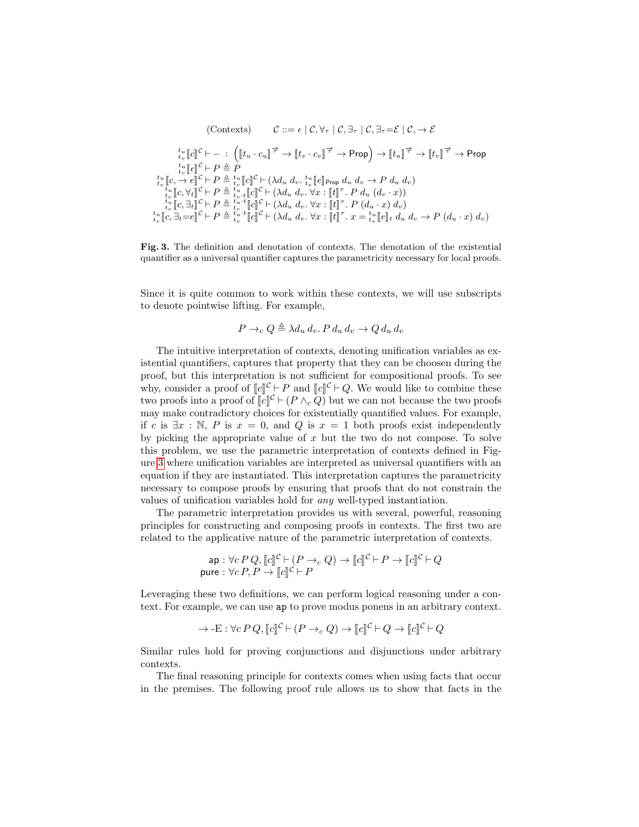(Contexts) 
$$
\mathcal{C} ::= \epsilon \mid \mathcal{C}, \forall_{\tau} \mid \mathcal{C}, \exists_{\tau} \mid \mathcal{C}, \exists_{\tau} \neq \mathcal{E} \mid \mathcal{C}, \rightarrow \mathcal{E}
$$
\n
$$
\begin{aligned}\n\frac{t_{u}}{t_{v}} &\mathbf{c}[c]^{C} \vdash - \quad \left( \left[ \mathbf{t}_{u} \cdot c_{u} \right] \right]^{\overrightarrow{\tau}} \rightarrow \left[ \mathbf{t}_{v} \cdot c_{v} \right]^{\overrightarrow{\tau}} \rightarrow \text{Prop} \right) \rightarrow \left[ \mathbf{t}_{u} \right]^{\overrightarrow{\tau}} \rightarrow \left[ \mathbf{t}_{v} \right]^{\overrightarrow{\tau}} \rightarrow \text{Prop} \\
\frac{t_{u}}{t_{v}} &\mathbf{c}[c]^{C} \vdash P \triangleq P \\
\frac{t_{v}}{t_{v}} &\mathbf{c} \rightarrow e \right]^{\mathcal{C}} \vdash P \triangleq \frac{t_{u}}{t_{v}} &\mathbf{c}[c]^{C} \vdash (\lambda d_{u} d_{v} \cdot \frac{t_{u}}{t_{v}} &\mathbf{c}[e] \text{Prop } d_{u} d_{v} \rightarrow P d_{u} d_{v}) \\
\frac{t_{u}}{t_{v}} &\mathbf{c}[\cdot, \forall_{t}]^{C} \vdash P \triangleq \frac{t_{u}}{t_{v}} &\mathbf{c}[c]^{C} \vdash (\lambda d_{u} d_{v} \cdot \forall x \colon \mathbf{c}[t]^{\tau} \cdot P d_{u} (d_{v} \cdot x)) \\
\frac{t_{v}}{t_{v}} &\mathbf{c}[\cdot, \exists_{t}]\right]^{\tau} \vdash P \triangleq \frac{t_{u}}{t_{v}} &\mathbf{c}[c]^{C} \vdash (\lambda d_{u} d_{v} \cdot \forall x \colon \mathbf{c}[t]^{\tau} \cdot P (d_{u} \cdot x) d_{v}) \\
\frac{t_{u}}{t_{v}} &\mathbf{c}[\cdot, \exists_{t} \cdot e] \vdash P \triangleq \frac{t_{u}}{t_{v}} &\mathbf{c}[c]^{C} \vdash (\lambda d_{u} d_{v} \cdot \forall x \colon \mathbf{c}[t]^{\tau} \cdot R d_{u} d_{v} \rightarrow P (d_{u} \cdot x) d_{v})\n\end{aligned
$$

<span id="page-8-0"></span>Fig. 3. The definition and denotation of contexts. The denotation of the existential quantifier as a universal quantifier captures the parametricity necessary for local proofs.

Since it is quite common to work within these contexts, we will use subscripts to denote pointwise lifting. For example,

$$
P \to_c Q \triangleq \lambda d_u d_v \cdot P d_u d_v \to Q d_u d_v
$$

The intuitive interpretation of contexts, denoting unification variables as existential quantifiers, captures that property that they can be choosen during the proof, but this interpretation is not sufficient for compositional proofs. To see why, consider a proof of  $[[c]]^{\mathcal{C}} \vdash P$  and  $[[c]]^{\mathcal{C}} \vdash Q$ . We would like to combine these two proofs into a proof of  $[[c]]^{\mathcal{C}} \vdash (P \wedge_c Q)$  but we can not because the two proofs<br>may make contradictory choices for existentially quantified values. For example may make contradictory choices for existentially quantified values. For example, if c is  $\exists x : \mathbb{N}, P$  is  $x = 0$ , and Q is  $x = 1$  both proofs exist independently by picking the appropriate value of  $x$  but the two do not compose. To solve this problem, we use the parametric interpretation of contexts defined in Figure [3](#page-8-0) where unification variables are interpreted as universal quantifiers with an equation if they are instantiated. This interpretation captures the parametricity necessary to compose proofs by ensuring that proofs that do not constrain the values of unification variables hold for any well-typed instantiation.

The parametric interpretation provides us with several, powerful, reasoning principles for constructing and composing proofs in contexts. The first two are related to the applicative nature of the parametric interpretation of contexts.

ap : 
$$
\forall c P Q, [c]^{\mathcal{C}} \vdash (P \rightarrow_c Q) \rightarrow [c]^{\mathcal{C}} \vdash P \rightarrow [c]^{\mathcal{C}} \vdash Q
$$
  
pure :  $\forall c P, P \rightarrow [c]^{\mathcal{C}} \vdash P$ 

Leveraging these two definitions, we can perform logical reasoning under a context. For example, we can use ap to prove modus ponens in an arbitrary context.

$$
\rightarrow \text{-}E: \forall c \, P \, Q, [c] \mathcal{C} \vdash (P \rightarrow_c Q) \rightarrow [c] \mathcal{C} \vdash Q \rightarrow [c] \mathcal{C} \vdash Q
$$

Similar rules hold for proving conjunctions and disjunctions under arbitrary contexts.

The final reasoning principle for contexts comes when using facts that occur in the premises. The following proof rule allows us to show that facts in the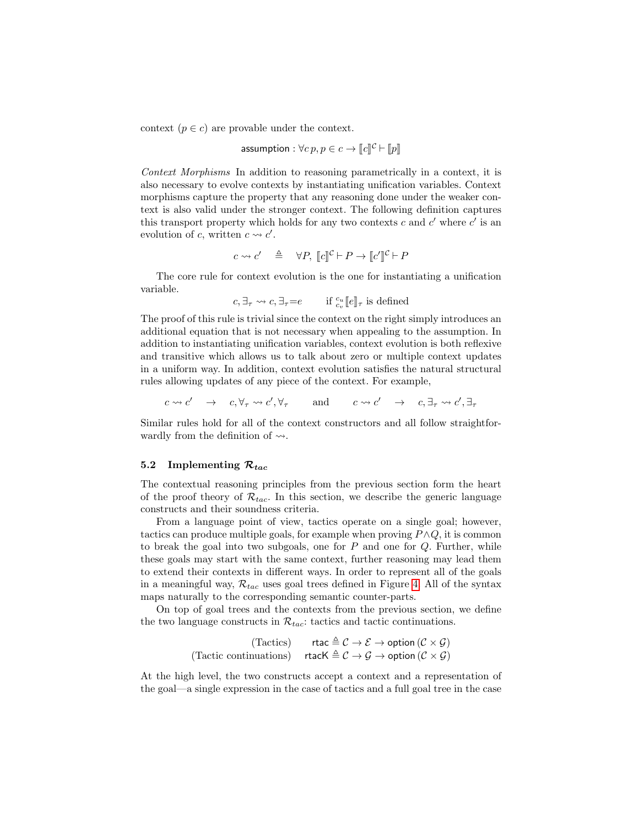context  $(p \in c)$  are provable under the context.

$$
\text{assumption}: \forall cp, p \in c \rightarrow [c]^{c} \vdash [p]
$$

Context Morphisms In addition to reasoning parametrically in a context, it is also necessary to evolve contexts by instantiating unification variables. Context morphisms capture the property that any reasoning done under the weaker context is also valid under the stronger context. The following definition captures this transport property which holds for any two contexts c and  $c'$  where  $c'$  is an evolution of c, written  $c \leadsto c'$ .

$$
c \leadsto c' \triangleq \forall P, [c] \mathcal{C} \vdash P \rightarrow [c'] \mathcal{C} \vdash P
$$

The core rule for context evolution is the one for instantiating a unification variable.

$$
c, \exists_{\tau} \leadsto c, \exists_{\tau} = e
$$
 if  $c_u \llbracket e \rrbracket_{\tau}$  is defined

The proof of this rule is trivial since the context on the right simply introduces an additional equation that is not necessary when appealing to the assumption. In addition to instantiating unification variables, context evolution is both reflexive and transitive which allows us to talk about zero or multiple context updates in a uniform way. In addition, context evolution satisfies the natural structural rules allowing updates of any piece of the context. For example,

 $c \leadsto c' \quad \to \quad c, \forall_{\tau} \leadsto c', \forall_{\tau} \quad \text{and} \quad c \leadsto c' \quad \to \quad c, \exists_{\tau} \leadsto c', \exists_{\tau}$ 

Similar rules hold for all of the context constructors and all follow straightforwardly from the definition of  $\rightsquigarrow$ .

#### <span id="page-9-0"></span>5.2 Implementing  $\mathcal{R}_{tac}$

The contextual reasoning principles from the previous section form the heart of the proof theory of  $\mathcal{R}_{tac}$ . In this section, we describe the generic language constructs and their soundness criteria.

From a language point of view, tactics operate on a single goal; however, tactics can produce multiple goals, for example when proving  $P \wedge Q$ , it is common to break the goal into two subgoals, one for  $P$  and one for  $Q$ . Further, while these goals may start with the same context, further reasoning may lead them to extend their contexts in different ways. In order to represent all of the goals in a meaningful way,  $\mathcal{R}_{tac}$  uses goal trees defined in Figure [4.](#page-10-0) All of the syntax maps naturally to the corresponding semantic counter-parts.

On top of goal trees and the contexts from the previous section, we define the two language constructs in  $\mathcal{R}_{tac}$ : tactics and tactic continuations.

> (Tactics) rtac  $\triangleq \mathcal{C} \rightarrow \mathcal{E} \rightarrow$  option  $(\mathcal{C} \times \mathcal{G})$ (Tactic continuations) rtacK  $\triangleq C \rightarrow G \rightarrow$  option  $(C \times G)$

At the high level, the two constructs accept a context and a representation of the goal—a single expression in the case of tactics and a full goal tree in the case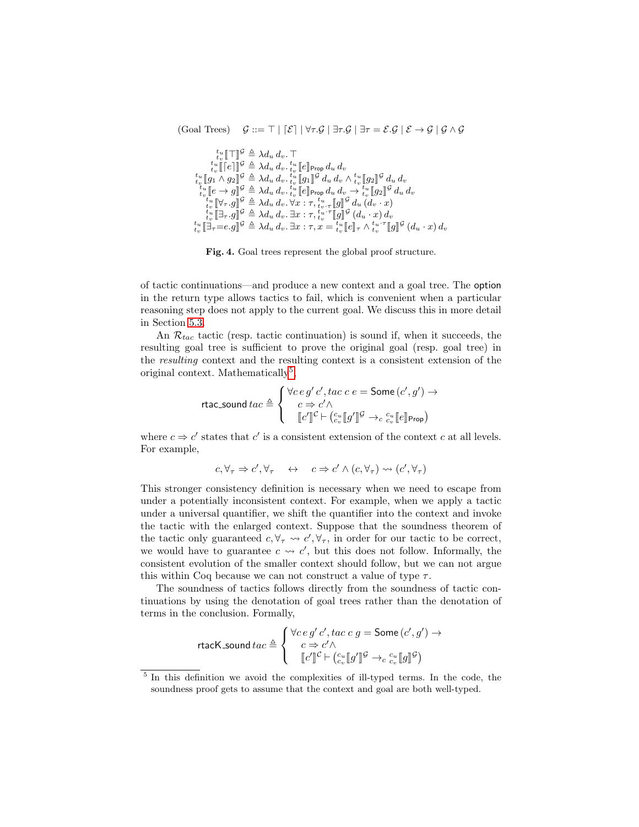$(GoaI\,\mathrm{Trees})\,$   $\mathcal{G} ::= \top | [\mathcal{E}] | \forall \tau . \mathcal{G} | \exists \tau . \mathcal{G} | \exists \tau = \mathcal{E} . \mathcal{G} | \mathcal{E} \rightarrow \mathcal{G} | \mathcal{G} \wedge \mathcal{G}$ 

$$
\begin{array}{l} \ ^t\!u_t\mathstrut \left\|\mathstrut\mathstrut\right\|\mathstrut\right\|\theta\triangleq \lambda d_u\,d_v\,.\top\\ \ ^t\!u_t\mathstrut \left\|\mathstrut\left[ e\right]\right\|\mathstrut\beta\triangleq \lambda d_u\,d_v\,.\ ^t\!u_t\mathstrut \left\|\mathstrut\left[ e\right]\right\|\mathsf{Prop}\,d_u\,d_v\\ \ ^t\!u_t\mathstrut \left\|\mathstrut\left[ g_1\wedge g_2\right\|\mathstrut\beta\triangleq \lambda d_u\,d_v\,.\ ^t\!u_t\mathstrut \left\|\mathstrut\left[ g_1\right\|\mathstrut\beta\,d_u\,d_v\wedge \frac{t_u}{t_v}\mathstrut\left[ g_2\right\|\mathstrut\beta\,d_u\,d_v\\ \ ^t\!u_t\mathstrut \left\|\mathstrut\left[ e\rightarrow g\right\|\mathstrut\beta\triangleq \lambda d_u\,d_v\,.\ ^t\!u_t\mathstrut \left\|\mathstrut\left[ e\right]\right\|\mathsf{Prop}\,d_u\,d_v\rightarrow \frac{t_u}{t_v}\mathstrut \left\|\mathstrut\left[ g_2\right\|\mathstrut\beta\,d_u\,d_v\\ \ ^t\!u_t\mathstrut \left\|\mathstrut\gamma\,.\mathstrut\eta\right\|\mathstrut\beta\triangleq \lambda d_u\,d_v\,.\ \forall x: \tau, \frac{t_u}{t_v}\tau\,.\mathstrut \left\|\mathstrut\eta\right\|\mathstrut\beta\,d_u\,d_v\cdot x)\\ \ ^t\!u_t\mathstrut \left\|\mathstrut\exists \tau, g\right\|\mathstrut\beta\triangleq \lambda d_u\,d_v\,.\ \exists x: \tau, \frac{t_u}{t_u}\tau\,.\mathstrut\left\|\mathstrut\eta\right\|\mathstrut\beta\,d_u\tau\,.\ ^t\!u_t\tau\,.\mathstrut\left\|\mathstrut\eta\right\|\mathstrut\beta\,d_u\cdot\tau\,.\ ^t\!u_t\right.\\ \ ^t\!u_t\mathstrut \left\|\mathstrut\exists \tau\!=\!e.g\right\|\mathstrut\beta\triangleq \lambda d_u\,d_v\,.\ \exists x: \tau, \tau = \frac{t_u}{t_u}\mathstrut\left\|\mathstrut\epsilon\right\|\tau, \wedge \frac{t_u}{
$$

<span id="page-10-0"></span>Fig. 4. Goal trees represent the global proof structure.

of tactic continuations—and produce a new context and a goal tree. The option in the return type allows tactics to fail, which is convenient when a particular reasoning step does not apply to the current goal. We discuss this in more detail in Section [5.3.](#page-11-0)

An  $\mathcal{R}_{tac}$  tactic (resp. tactic continuation) is sound if, when it succeeds, the resulting goal tree is sufficient to prove the original goal (resp. goal tree) in the resulting context and the resulting context is a consistent extension of the original context. Mathematically<sup>[5](#page-10-1)</sup>,

$$
\text{rtac\_sound}\, \, tac \triangleq \left\{ \begin{array}{l} \forall c \, e \, g' \, c', tac \, c \, e = \textsf{Some} \, (c', g') \rightarrow \\ c \Rightarrow c' \land \\ \llbracket c' \rrbracket^{\mathcal{C}} \vdash \left( \begin{smallmatrix} c_u \\ c_v \end{smallmatrix} \llbracket g' \rrbracket^{\mathcal{G}} \rightarrow_c \begin{smallmatrix} c_u \\ c_v \end{smallmatrix} \llbracket e \rrbracket \textsf{Prop} \right) \end{array} \right.
$$

where  $c \Rightarrow c'$  states that  $c'$  is a consistent extension of the context c at all levels. For example,

$$
c, \forall_{\tau} \Rightarrow c', \forall_{\tau} \quad \leftrightarrow \quad c \Rightarrow c' \land (c, \forall_{\tau}) \rightsquigarrow (c', \forall_{\tau})
$$

This stronger consistency definition is necessary when we need to escape from under a potentially inconsistent context. For example, when we apply a tactic under a universal quantifier, we shift the quantifier into the context and invoke the tactic with the enlarged context. Suppose that the soundness theorem of the tactic only guaranteed  $c, \forall_{\tau} \leadsto c', \forall_{\tau}$ , in order for our tactic to be correct, we would have to guarantee  $c \leadsto c'$ , but this does not follow. Informally, the consistent evolution of the smaller context should follow, but we can not argue this within Coq because we can not construct a value of type  $\tau$ .

The soundness of tactics follows directly from the soundness of tactic continuations by using the denotation of goal trees rather than the denotation of terms in the conclusion. Formally,

$$
\mathsf{rtack\_sound}\, \, tac \triangleq \left\{ \begin{array}{l} \forall c \, e \, g' \, c', tac \, c \, g = \mathsf{Some} \, (c', g') \rightarrow \\ c \Rightarrow c' \land \\ \llbracket c' \rrbracket^{\mathcal{C}} \vdash \left( \begin{smallmatrix} c_u \\ c_v \rrbracket g' \rrbracket^{\mathcal{G}} \rightarrow c \, \begin{smallmatrix} c_u \\ c_v \rrbracket g \rrbracket^{\mathcal{G}} \end{smallmatrix} \right) \end{array} \right.
$$

<span id="page-10-1"></span><sup>&</sup>lt;sup>5</sup> In this definition we avoid the complexities of ill-typed terms. In the code, the soundness proof gets to assume that the context and goal are both well-typed.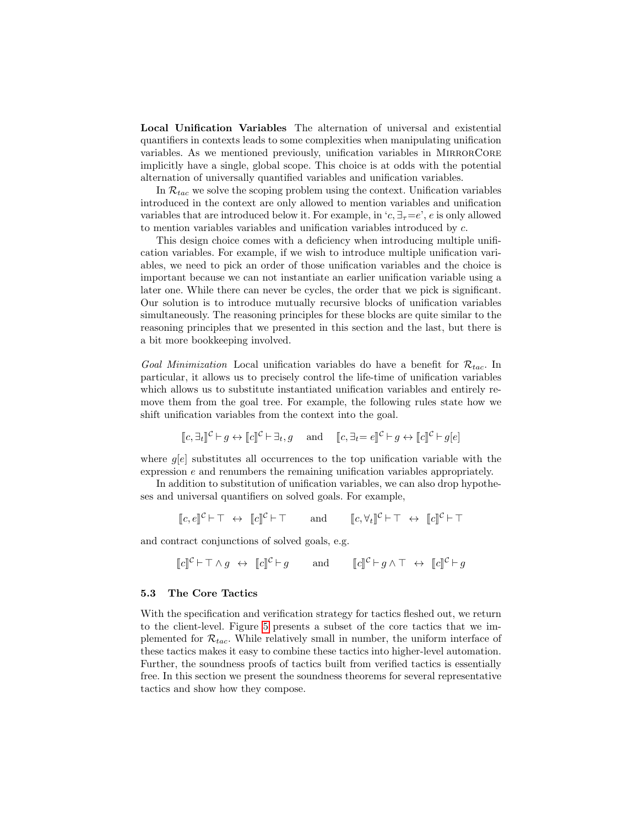Local Unification Variables The alternation of universal and existential quantifiers in contexts leads to some complexities when manipulating unification variables. As we mentioned previously, unification variables in MirrorCore implicitly have a single, global scope. This choice is at odds with the potential alternation of universally quantified variables and unification variables.

In  $\mathcal{R}_{tac}$  we solve the scoping problem using the context. Unification variables introduced in the context are only allowed to mention variables and unification variables that are introduced below it. For example, in ' $c, \exists_{\tau} = e$ ', e is only allowed to mention variables variables and unification variables introduced by c.

This design choice comes with a deficiency when introducing multiple unification variables. For example, if we wish to introduce multiple unification variables, we need to pick an order of those unification variables and the choice is important because we can not instantiate an earlier unification variable using a later one. While there can never be cycles, the order that we pick is significant. Our solution is to introduce mutually recursive blocks of unification variables simultaneously. The reasoning principles for these blocks are quite similar to the reasoning principles that we presented in this section and the last, but there is a bit more bookkeeping involved.

Goal Minimization Local unification variables do have a benefit for  $\mathcal{R}_{tac}$ . In particular, it allows us to precisely control the life-time of unification variables which allows us to substitute instantiated unification variables and entirely remove them from the goal tree. For example, the following rules state how we shift unification variables from the context into the goal.

$$
[\![c, \exists_t]\!]^{\mathcal{C}} \vdash g \leftrightarrow [\![c]\!]^{\mathcal{C}} \vdash \exists_t, g \quad \text{and} \quad [\![c, \exists_t = e]\!]^{\mathcal{C}} \vdash g \leftrightarrow [\![c]\!]^{\mathcal{C}} \vdash g[e]
$$

where  $g[e]$  substitutes all occurrences to the top unification variable with the expression e and renumbers the remaining unification variables appropriately.

In addition to substitution of unification variables, we can also drop hypotheses and universal quantifiers on solved goals. For example,

$$
[\![c,e]\!]^{\mathcal{C}} \vdash \top \leftrightarrow [\![c]\!]^{\mathcal{C}} \vdash \top
$$
 and  $[\![c,\forall_t]\!]^{\mathcal{C}} \vdash \top \leftrightarrow [\![c]\!]^{\mathcal{C}} \vdash \top$ 

and contract conjunctions of solved goals, e.g.

$$
[\![c]\!]^{\mathcal{C}} \vdash \top \wedge g \leftrightarrow [\![c]\!]^{\mathcal{C}} \vdash g \qquad \text{and} \qquad [\![c]\!]^{\mathcal{C}} \vdash g \wedge \top \leftrightarrow [\![c]\!]^{\mathcal{C}} \vdash g
$$

#### <span id="page-11-0"></span>5.3 The Core Tactics

With the specification and verification strategy for tactics fleshed out, we return to the client-level. Figure [5](#page-12-0) presents a subset of the core tactics that we implemented for  $\mathcal{R}_{tac}$ . While relatively small in number, the uniform interface of these tactics makes it easy to combine these tactics into higher-level automation. Further, the soundness proofs of tactics built from verified tactics is essentially free. In this section we present the soundness theorems for several representative tactics and show how they compose.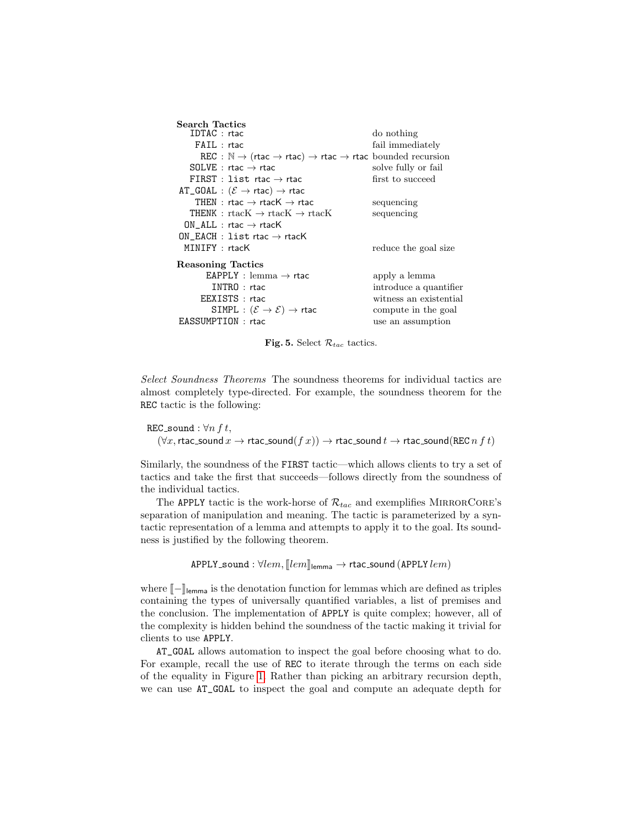| <b>Search Tactics</b>                                                            |                        |
|----------------------------------------------------------------------------------|------------------------|
| IDTAC : r <sub>tac</sub>                                                         | do nothing             |
| FAIL : rtac                                                                      | fail immediately       |
| REC : $\mathbb{N} \to$ (rtac $\to$ rtac) $\to$ rtac $\to$ rtac bounded recursion |                        |
| $SOLVE$ : rtac $\rightarrow$ rtac                                                | solve fully or fail    |
| $\texttt{FIRST}: \texttt{list} \texttt{ rtac} \rightarrow \texttt{rtac}$         | first to succeed       |
| AT_GOAL : $(\mathcal{E} \rightarrow$ rtac) $\rightarrow$ rtac                    |                        |
| THEN : rtac $\rightarrow$ rtacK $\rightarrow$ rtac                               | sequencing             |
| THENK : rtacK $\rightarrow$ rtacK $\rightarrow$ rtacK                            | sequencing             |
| $ON$ ALL : rtac $\rightarrow$ rtacK                                              |                        |
| ON EACH : list rtac $\rightarrow$ rtacK                                          |                        |
| MINIFY: rtacK                                                                    | reduce the goal size   |
| <b>Reasoning Tactics</b>                                                         |                        |
| $EAPPLY : lemma \rightarrow rtac$                                                | apply a lemma          |
| $INTRO:$ rtac                                                                    | introduce a quantifier |
| EEXISTS : rtac                                                                   | witness an existential |
| SIMPL : $(\mathcal{E} \rightarrow \mathcal{E}) \rightarrow$ rtac                 | compute in the goal    |
| EASSUMPTION: rtac                                                                | use an assumption      |
|                                                                                  |                        |

<span id="page-12-0"></span>Fig. 5. Select  $\mathcal{R}_{tac}$  tactics.

Select Soundness Theorems The soundness theorems for individual tactics are almost completely type-directed. For example, the soundness theorem for the REC tactic is the following:

REC\_sound :  $\forall n \, f \, t$ ,  $(\forall x, \text{rtac\_sound } x \rightarrow \text{rtac\_sound}(f\ x)) \rightarrow \text{rtac\_sound } t \rightarrow \text{rtac\_sound}(REC\ n\ f\ t)$ 

Similarly, the soundness of the FIRST tactic—which allows clients to try a set of tactics and take the first that succeeds—follows directly from the soundness of the individual tactics.

The APPLY tactic is the work-horse of  $\mathcal{R}_{tac}$  and exemplifies MIRRORCORE's separation of manipulation and meaning. The tactic is parameterized by a syntactic representation of a lemma and attempts to apply it to the goal. Its soundness is justified by the following theorem.

APPLY\_sound :  $\forall lem, \llbracket lem \rrbracket_{\mathsf{lemma}} \rightarrow \mathsf{rtac\_sound}$  (APPLY  $lem$ )

where  $\llbracket - \rrbracket_{\text{lemma}}$  is the denotation function for lemmas which are defined as triples containing the types of universally quantified variables, a list of premises and the conclusion. The implementation of APPLY is quite complex; however, all of the complexity is hidden behind the soundness of the tactic making it trivial for clients to use APPLY.

AT\_GOAL allows automation to inspect the goal before choosing what to do. For example, recall the use of REC to iterate through the terms on each side of the equality in Figure [1.](#page-4-0) Rather than picking an arbitrary recursion depth, we can use AT\_GOAL to inspect the goal and compute an adequate depth for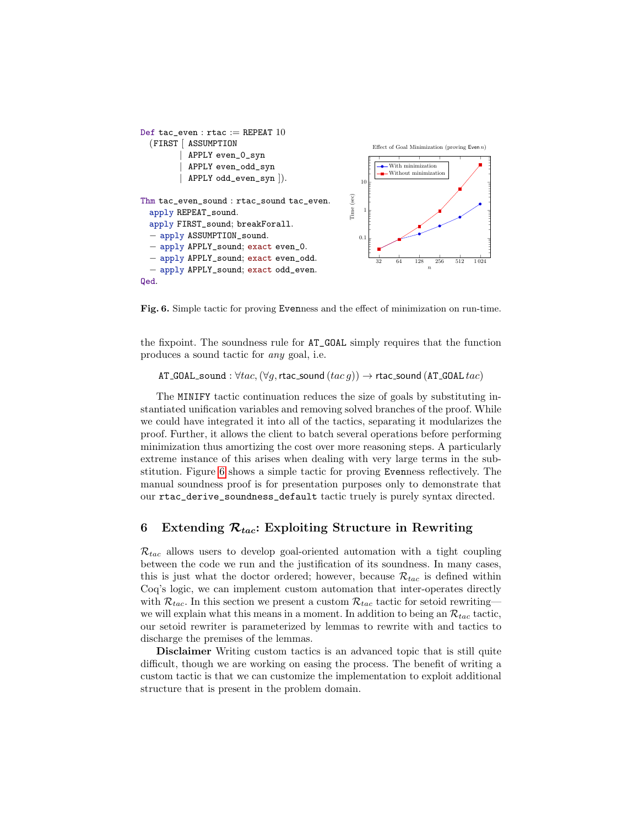

<span id="page-13-1"></span>Fig. 6. Simple tactic for proving Evenness and the effect of minimization on run-time.

the fixpoint. The soundness rule for AT\_GOAL simply requires that the function produces a sound tactic for any goal, i.e.

AT\_GOAL\_sound :  $\forall tac.(\forall g, \text{rtac\_sound}(tac g)) \rightarrow \text{rtac\_sound}(AT\_GOAL tac)$ 

The MINIFY tactic continuation reduces the size of goals by substituting instantiated unification variables and removing solved branches of the proof. While we could have integrated it into all of the tactics, separating it modularizes the proof. Further, it allows the client to batch several operations before performing minimization thus amortizing the cost over more reasoning steps. A particularly extreme instance of this arises when dealing with very large terms in the substitution. Figure [6](#page-13-1) shows a simple tactic for proving Evenness reflectively. The manual soundness proof is for presentation purposes only to demonstrate that our rtac\_derive\_soundness\_default tactic truely is purely syntax directed.

# <span id="page-13-0"></span>6 Extending  $\mathcal{R}_{tac}$ : Exploiting Structure in Rewriting

 $\mathcal{R}_{tac}$  allows users to develop goal-oriented automation with a tight coupling between the code we run and the justification of its soundness. In many cases, this is just what the doctor ordered; however, because  $\mathcal{R}_{tac}$  is defined within Coq's logic, we can implement custom automation that inter-operates directly with  $\mathcal{R}_{tac}$ . In this section we present a custom  $\mathcal{R}_{tac}$  tactic for setoid rewriting we will explain what this means in a moment. In addition to being an  $\mathcal{R}_{tac}$  tactic, our setoid rewriter is parameterized by lemmas to rewrite with and tactics to discharge the premises of the lemmas.

Disclaimer Writing custom tactics is an advanced topic that is still quite difficult, though we are working on easing the process. The benefit of writing a custom tactic is that we can customize the implementation to exploit additional structure that is present in the problem domain.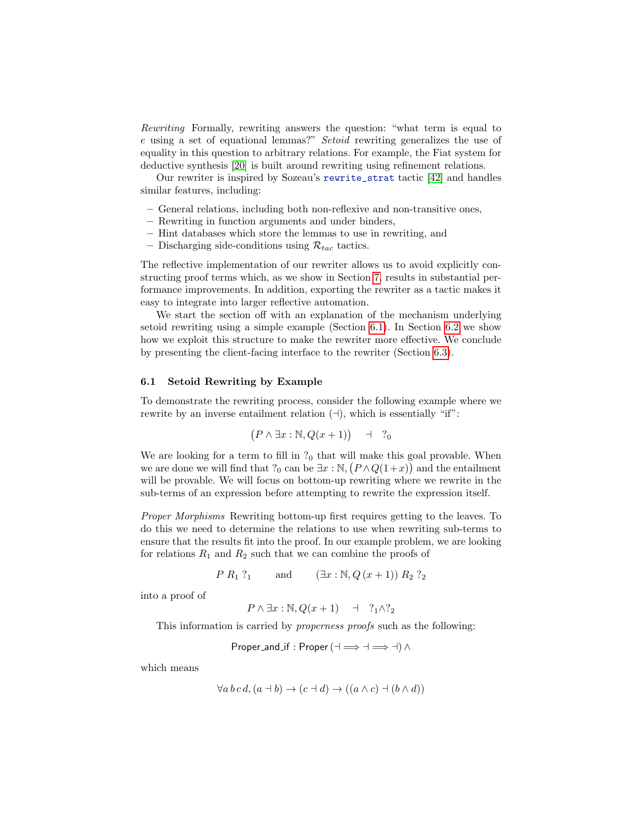Rewriting Formally, rewriting answers the question: "what term is equal to e using a set of equational lemmas?" Setoid rewriting generalizes the use of equality in this question to arbitrary relations. For example, the Fiat system for deductive synthesis [\[20\]](#page-25-7) is built around rewriting using refinement relations.

Our rewriter is inspired by Sozeau's rewrite\_strat tactic [\[42\]](#page-26-7) and handles similar features, including:

- General relations, including both non-reflexive and non-transitive ones,
- Rewriting in function arguments and under binders,
- Hint databases which store the lemmas to use in rewriting, and
- Discharging side-conditions using  $\mathcal{R}_{tac}$  tactics.

The reflective implementation of our rewriter allows us to avoid explicitly constructing proof terms which, as we show in Section [7,](#page-19-0) results in substantial performance improvements. In addition, exporting the rewriter as a tactic makes it easy to integrate into larger reflective automation.

We start the section off with an explanation of the mechanism underlying setoid rewriting using a simple example (Section [6.1\)](#page-14-0). In Section [6.2](#page-16-0) we show how we exploit this structure to make the rewriter more effective. We conclude by presenting the client-facing interface to the rewriter (Section [6.3\)](#page-17-0).

#### <span id="page-14-0"></span>6.1 Setoid Rewriting by Example

To demonstrate the rewriting process, consider the following example where we rewrite by an inverse entailment relation  $(\neg)$ , which is essentially "if":

$$
(P \wedge \exists x : \mathbb{N}, Q(x+1)) \quad \exists \quad ?_0
$$

We are looking for a term to fill in  $?_0$  that will make this goal provable. When we are done we will find that ?<sub>0</sub> can be  $\exists x : \mathbb{N}, (P \wedge Q(1+x))$  and the entailment will be provable. We will focus on bottom-up rewriting where we rewrite in the sub-terms of an expression before attempting to rewrite the expression itself.

Proper Morphisms Rewriting bottom-up first requires getting to the leaves. To do this we need to determine the relations to use when rewriting sub-terms to ensure that the results fit into the proof. In our example problem, we are looking for relations  $R_1$  and  $R_2$  such that we can combine the proofs of

$$
P R_1 ?_1
$$
 and  $(\exists x : \mathbb{N}, Q (x + 1)) R_2 ?_2$ 

into a proof of

$$
P \wedge \exists x : \mathbb{N}, Q(x+1) \quad \exists \quad ?_1 \wedge ?_2
$$

This information is carried by properness proofs such as the following:

Proper\_and\_if : Proper  $(\neg \Longrightarrow \neg \Longrightarrow \neg) \land$ 

which means

$$
\forall a \, b \, c \, d, (a \dashv b) \rightarrow (c \dashv d) \rightarrow ((a \land c) \dashv (b \land d))
$$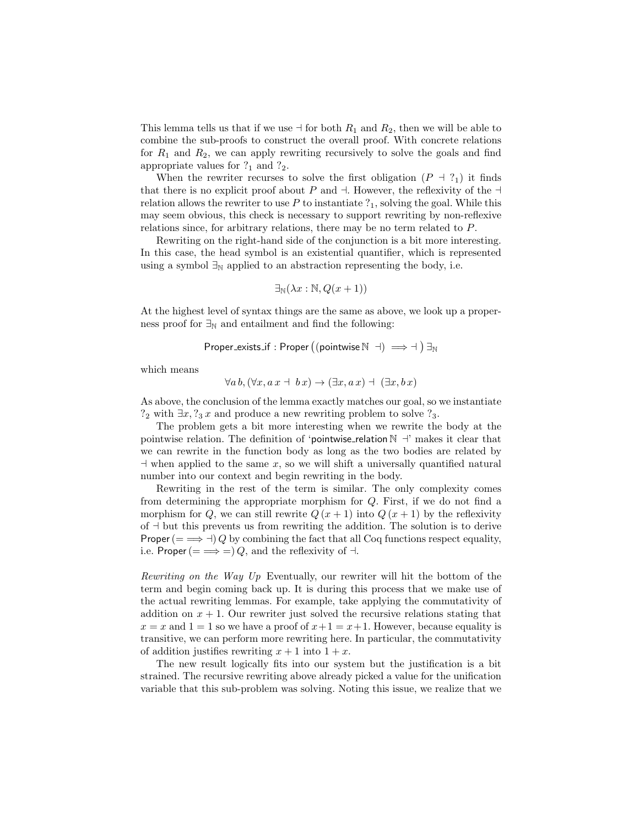This lemma tells us that if we use  $\neg$  for both  $R_1$  and  $R_2$ , then we will be able to combine the sub-proofs to construct the overall proof. With concrete relations for  $R_1$  and  $R_2$ , we can apply rewriting recursively to solve the goals and find appropriate values for  $?_1$  and  $?_2$ .

When the rewriter recurses to solve the first obligation  $(P \dashv ?_1)$  it finds that there is no explicit proof about P and  $\exists$ . However, the reflexivity of the  $\exists$ relation allows the rewriter to use  $P$  to instantiate  $?_1$ , solving the goal. While this may seem obvious, this check is necessary to support rewriting by non-reflexive relations since, for arbitrary relations, there may be no term related to P.

Rewriting on the right-hand side of the conjunction is a bit more interesting. In this case, the head symbol is an existential quantifier, which is represented using a symbol  $\exists_N$  applied to an abstraction representing the body, i.e.

$$
\exists_{\mathbb{N}}(\lambda x : \mathbb{N}, Q(x+1))
$$

At the highest level of syntax things are the same as above, we look up a properness proof for  $\exists_N$  and entailment and find the following:

$$
\mathsf{Proper\_exists\_if} : \mathsf{Proper}((\mathsf{pointwise} \, \mathbb{N} \, \dashv) \implies \dashv) \, \exists_{\mathbb{N}}
$$

which means

$$
\forall a b, (\forall x, a x \dashv b x) \rightarrow (\exists x, a x) \dashv (\exists x, b x)
$$

As above, the conclusion of the lemma exactly matches our goal, so we instantiate ?<sub>2</sub> with  $\exists x, ?_3 x$  and produce a new rewriting problem to solve ?<sub>3</sub>.

The problem gets a bit more interesting when we rewrite the body at the pointwise relation. The definition of 'pointwise\_relation  $\mathbb{N}$  -  $\mathbb{N}$  makes it clear that we can rewrite in the function body as long as the two bodies are related by  $\dashv$  when applied to the same x, so we will shift a universally quantified natural number into our context and begin rewriting in the body.

Rewriting in the rest of the term is similar. The only complexity comes from determining the appropriate morphism for Q. First, if we do not find a morphism for Q, we can still rewrite  $Q(x + 1)$  into  $Q(x + 1)$  by the reflexivity of  $\dashv$  but this prevents us from rewriting the addition. The solution is to derive Proper (=  $\implies$  -1) Q by combining the fact that all Coq functions respect equality, i.e. Proper (=  $\Longrightarrow$  =) Q, and the reflexivity of  $\exists$ .

Rewriting on the Way Up Eventually, our rewriter will hit the bottom of the term and begin coming back up. It is during this process that we make use of the actual rewriting lemmas. For example, take applying the commutativity of addition on  $x + 1$ . Our rewriter just solved the recursive relations stating that  $x = x$  and  $1 = 1$  so we have a proof of  $x+1 = x+1$ . However, because equality is transitive, we can perform more rewriting here. In particular, the commutativity of addition justifies rewriting  $x + 1$  into  $1 + x$ .

The new result logically fits into our system but the justification is a bit strained. The recursive rewriting above already picked a value for the unification variable that this sub-problem was solving. Noting this issue, we realize that we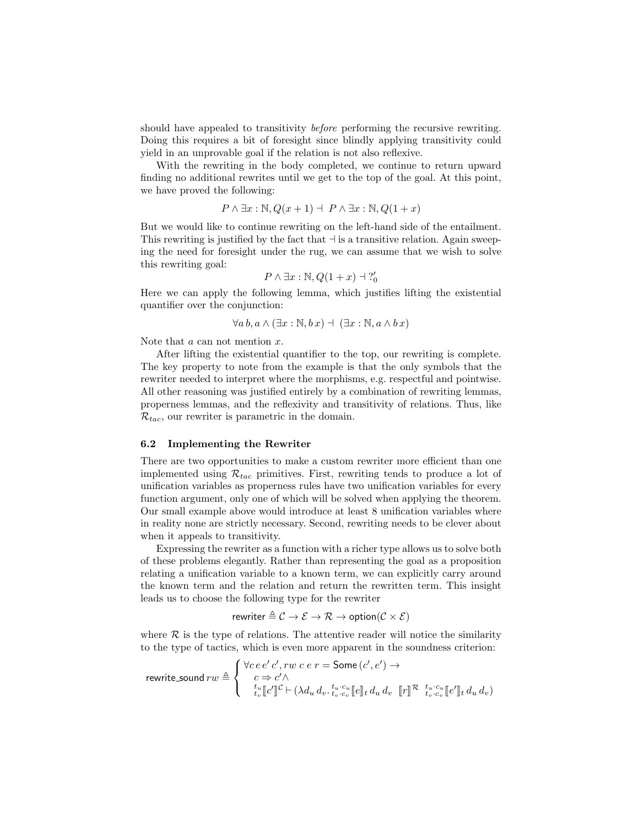should have appealed to transitivity before performing the recursive rewriting. Doing this requires a bit of foresight since blindly applying transitivity could yield in an unprovable goal if the relation is not also reflexive.

With the rewriting in the body completed, we continue to return upward finding no additional rewrites until we get to the top of the goal. At this point, we have proved the following:

$$
P \wedge \exists x : \mathbb{N}, Q(x+1) \vdash P \wedge \exists x : \mathbb{N}, Q(1+x)
$$

But we would like to continue rewriting on the left-hand side of the entailment. This rewriting is justified by the fact that  $\exists$  is a transitive relation. Again sweeping the need for foresight under the rug, we can assume that we wish to solve this rewriting goal:

$$
P \wedge \exists x : \mathbb{N}, Q(1+x) \dashv ?'_0
$$

Here we can apply the following lemma, which justifies lifting the existential quantifier over the conjunction:

$$
\forall a \, b, a \land (\exists x : \mathbb{N}, bx) \land (\exists x : \mathbb{N}, a \land bx)
$$

Note that  $a$  can not mention  $x$ .

After lifting the existential quantifier to the top, our rewriting is complete. The key property to note from the example is that the only symbols that the rewriter needed to interpret where the morphisms, e.g. respectful and pointwise. All other reasoning was justified entirely by a combination of rewriting lemmas, properness lemmas, and the reflexivity and transitivity of relations. Thus, like  $\mathcal{R}_{tac}$ , our rewriter is parametric in the domain.

#### <span id="page-16-0"></span>6.2 Implementing the Rewriter

There are two opportunities to make a custom rewriter more efficient than one implemented using  $\mathcal{R}_{tac}$  primitives. First, rewriting tends to produce a lot of unification variables as properness rules have two unification variables for every function argument, only one of which will be solved when applying the theorem. Our small example above would introduce at least 8 unification variables where in reality none are strictly necessary. Second, rewriting needs to be clever about when it appeals to transitivity.

Expressing the rewriter as a function with a richer type allows us to solve both of these problems elegantly. Rather than representing the goal as a proposition relating a unification variable to a known term, we can explicitly carry around the known term and the relation and return the rewritten term. This insight leads us to choose the following type for the rewriter

rewriter  $\triangleq \mathcal{C} \rightarrow \mathcal{E} \rightarrow \mathcal{R} \rightarrow$  option( $\mathcal{C} \times \mathcal{E}$ )

where  $R$  is the type of relations. The attentive reader will notice the similarity to the type of tactics, which is even more apparent in the soundness criterion:

$$
\text{rewrite\_sound } rw \triangleq \left\{ \begin{array}{l} \forall c \, e \, e' \, c', rw \, c \, e \, r = \textsf{Some} \, (c',e') \rightarrow \\ c \Rightarrow c' \land \\ \begin{array}{l} t_u \, \llbracket c' \rrbracket^{\mathcal{C}} \vdash (\lambda d_u \, d_v, \begin{array}{l} t_u \cdot c_u \\ t_v \cdot c_v \end{array} \llbracket e \rrbracket_t \, d_u \, d_v \end{array} \llbracket r \rrbracket^{\mathcal{R}} \begin{array}{l} t_u \cdot c_u \\ t_v \cdot c_v \end{array} \llbracket e' \rrbracket_t \, d_u \, d_v \end{array} \right.
$$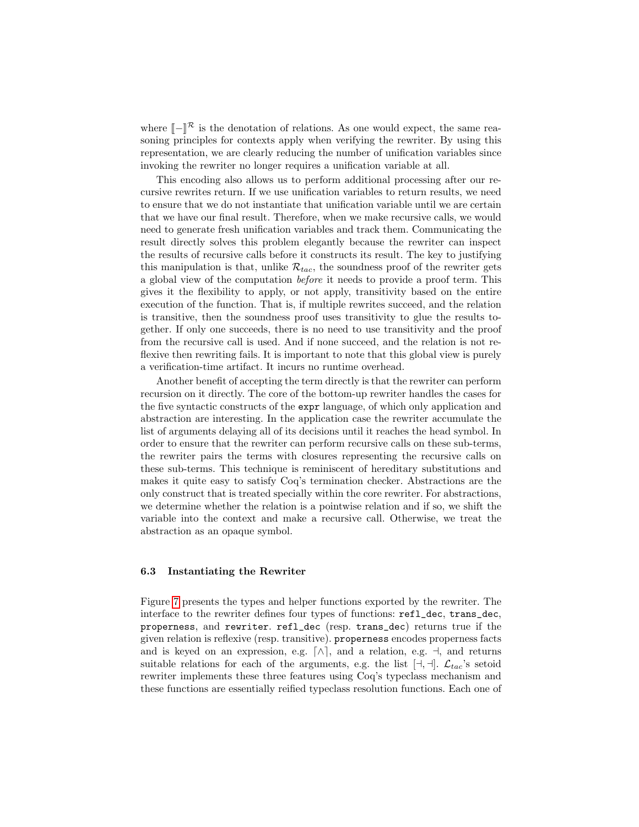where  $\llbracket - \rrbracket^{\mathcal{R}}$  is the denotation of relations. As one would expect, the same rea-<br>conjug principles for contexts apply when youthing the rewriter. By using this soning principles for contexts apply when verifying the rewriter. By using this representation, we are clearly reducing the number of unification variables since invoking the rewriter no longer requires a unification variable at all.

This encoding also allows us to perform additional processing after our recursive rewrites return. If we use unification variables to return results, we need to ensure that we do not instantiate that unification variable until we are certain that we have our final result. Therefore, when we make recursive calls, we would need to generate fresh unification variables and track them. Communicating the result directly solves this problem elegantly because the rewriter can inspect the results of recursive calls before it constructs its result. The key to justifying this manipulation is that, unlike  $\mathcal{R}_{tac}$ , the soundness proof of the rewriter gets a global view of the computation before it needs to provide a proof term. This gives it the flexibility to apply, or not apply, transitivity based on the entire execution of the function. That is, if multiple rewrites succeed, and the relation is transitive, then the soundness proof uses transitivity to glue the results together. If only one succeeds, there is no need to use transitivity and the proof from the recursive call is used. And if none succeed, and the relation is not reflexive then rewriting fails. It is important to note that this global view is purely a verification-time artifact. It incurs no runtime overhead.

Another benefit of accepting the term directly is that the rewriter can perform recursion on it directly. The core of the bottom-up rewriter handles the cases for the five syntactic constructs of the expr language, of which only application and abstraction are interesting. In the application case the rewriter accumulate the list of arguments delaying all of its decisions until it reaches the head symbol. In order to ensure that the rewriter can perform recursive calls on these sub-terms, the rewriter pairs the terms with closures representing the recursive calls on these sub-terms. This technique is reminiscent of hereditary substitutions and makes it quite easy to satisfy Coq's termination checker. Abstractions are the only construct that is treated specially within the core rewriter. For abstractions, we determine whether the relation is a pointwise relation and if so, we shift the variable into the context and make a recursive call. Otherwise, we treat the abstraction as an opaque symbol.

### <span id="page-17-0"></span>6.3 Instantiating the Rewriter

Figure [7](#page-18-0) presents the types and helper functions exported by the rewriter. The interface to the rewriter defines four types of functions: refl\_dec, trans\_dec, properness, and rewriter. refl\_dec (resp. trans\_dec) returns true if the given relation is reflexive (resp. transitive). properness encodes properness facts and is keyed on an expression, e.g.  $\lceil \wedge \rceil$ , and a relation, e.g.  $\vdots$ , and returns suitable relations for each of the arguments, e.g. the list  $[\exists, \exists]$ .  $\mathcal{L}_{tac}$ 's setoid rewriter implements these three features using Coq's typeclass mechanism and these functions are essentially reified typeclass resolution functions. Each one of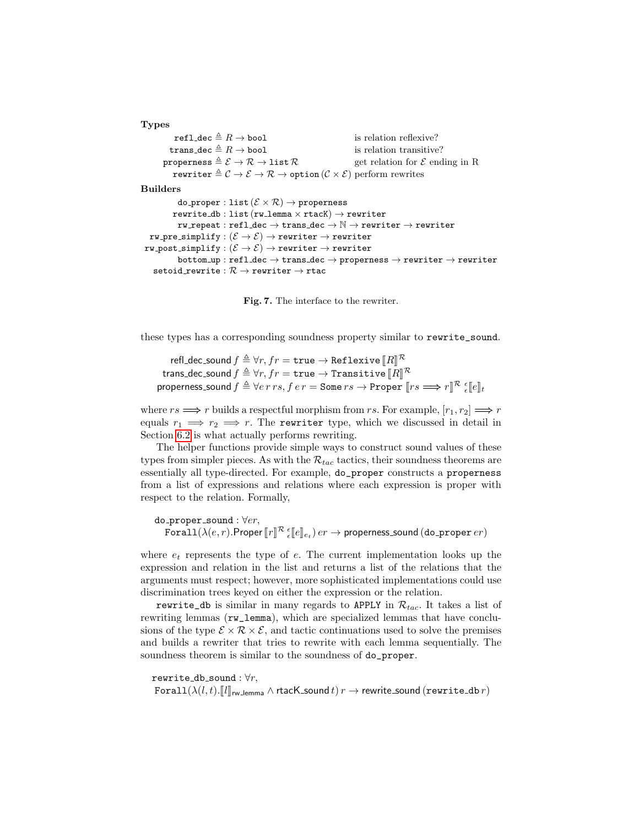```
Types
            refl_dec \triangleq R \rightarrow bool is relation reflexive?
          trans dec \triangleq R \rightarrow bool is relation transitive?
       properness \stackrel{\Delta}{=} \mathcal{E} \to \mathcal{R} \to \text{list } \mathcal{R} get relation for \mathcal{E} ending in R
           rewriter \triangleq \mathcal{C} \rightarrow \mathcal{E} \rightarrow \mathcal{R} \rightarrow option (\mathcal{C} \times \mathcal{E}) perform rewrites
Builders
             do proper : list (\mathcal{E} \times \mathcal{R}) \rightarrow properness
           rewrite_db : list (rw_lemma \times rtacK) \rightarrow rewriter
             rw repeat : refl_dec \rightarrow trans_dec \rightarrow \mathbb{N} \rightarrow rewriter \rightarrow rewriter
   rw_pre_simplify : (\mathcal{E} \to \mathcal{E}) \to rewriter \to rewriter
 rw_post_simplify : (\mathcal{E} \to \mathcal{E}) \to rewriter \to rewriter
             bottom\_up : refl\_dec \rightarrow trans\_dec \rightarrow properness \rightarrow rewritten \rightarrow rewritten\mathtt{setoid\_rewrite} : \mathcal{R} \rightarrow \mathtt{rewrite} \rightarrow \mathtt{rtac}
```
<span id="page-18-0"></span>Fig. 7. The interface to the rewriter.

these types has a corresponding soundness property similar to rewrite\_sound.

```
refl_dec_sound f \triangleq \forall r, fr = \text{true} \rightarrow \text{Reflexive } [R]^{\mathcal{R}}trans_dec_sound f \triangleq \forall r, fr = \text{true} \rightarrow \text{Transitive}[[R]]^{\mathcal{R}}properness_sound f \triangleq \forall e \, r \, rs, f \, e \, r = Some rs \to \text{Proper } [\![rs \Longrightarrow r]\!]^{\mathcal{R}} \, \frac{\epsilon}{\epsilon} [\![e]\!]_t
```
where  $rs \Longrightarrow r$  builds a respectful morphism from rs. For example,  $[r_1, r_2] \Longrightarrow r$ equals  $r_1 \implies r_2 \implies r$ . The rewriter type, which we discussed in detail in Section [6.2](#page-16-0) is what actually performs rewriting.

The helper functions provide simple ways to construct sound values of these types from simpler pieces. As with the  $\mathcal{R}_{tac}$  tactics, their soundness theorems are essentially all type-directed. For example, do\_proper constructs a properness from a list of expressions and relations where each expression is proper with respect to the relation. Formally,

do proper sound :  $\forall er$ , Foral $1(\lambda(e,r).$ Proper  $\llbracket r \rrbracket^{\mathcal R}$   $\epsilon\llbracket e \rrbracket_{e_t})$   $er\rightarrow$  properness\_sound (do\_proper  $er)$ 

where  $e_t$  represents the type of e. The current implementation looks up the expression and relation in the list and returns a list of the relations that the arguments must respect; however, more sophisticated implementations could use discrimination trees keyed on either the expression or the relation.

rewrite\_db is similar in many regards to APPLY in  $\mathcal{R}_{tac}$ . It takes a list of rewriting lemmas (rw\_lemma), which are specialized lemmas that have conclusions of the type  $\mathcal{E} \times \mathcal{R} \times \mathcal{E}$ , and tactic continuations used to solve the premises and builds a rewriter that tries to rewrite with each lemma sequentially. The soundness theorem is similar to the soundness of do\_proper.

```
rewrite_db_sound : \forall r,
Forall(\lambda(l, t). lll<sub>lw lemma</sub> \wedge rtacK sound t) r \to rewrite sound (rewrite db r)
```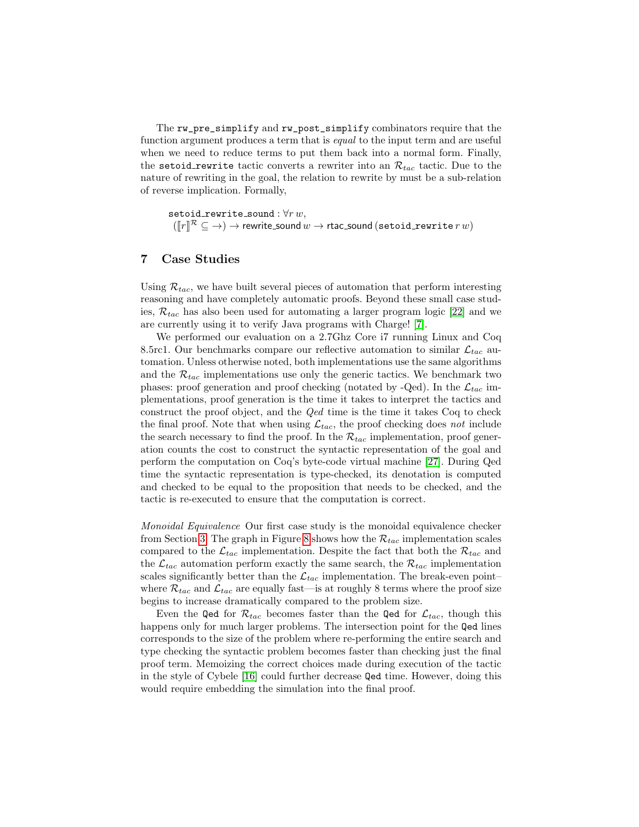The rw\_pre\_simplify and rw\_post\_simplify combinators require that the function argument produces a term that is *equal* to the input term and are useful when we need to reduce terms to put them back into a normal form. Finally, the setoid rewrite tactic converts a rewriter into an  $\mathcal{R}_{tac}$  tactic. Due to the nature of rewriting in the goal, the relation to rewrite by must be a sub-relation of reverse implication. Formally,

setoid\_rewrite\_sound :  $\forall r w$ ,  $(\llbracket r \rrbracket^\mathcal{R} \subseteq \to) \to \text{rewrite\_sound } w \to \text{rtac\_sound} \, (\text{setoid\_rewrite } r \, w)$ 

## <span id="page-19-0"></span>7 Case Studies

Using  $\mathcal{R}_{tac}$ , we have built several pieces of automation that perform interesting reasoning and have completely automatic proofs. Beyond these small case studies,  $\mathcal{R}_{tac}$  has also been used for automating a larger program logic [\[22\]](#page-25-8) and we are currently using it to verify Java programs with Charge! [\[7\]](#page-25-9).

We performed our evaluation on a 2.7Ghz Core i7 running Linux and Coq 8.5rc1. Our benchmarks compare our reflective automation to similar  $\mathcal{L}_{tac}$  automation. Unless otherwise noted, both implementations use the same algorithms and the  $\mathcal{R}_{tac}$  implementations use only the generic tactics. We benchmark two phases: proof generation and proof checking (notated by -Qed). In the  $\mathcal{L}_{tac}$  implementations, proof generation is the time it takes to interpret the tactics and construct the proof object, and the Qed time is the time it takes Coq to check the final proof. Note that when using  $\mathcal{L}_{tac}$ , the proof checking does not include the search necessary to find the proof. In the  $\mathcal{R}_{tac}$  implementation, proof generation counts the cost to construct the syntactic representation of the goal and perform the computation on Coq's byte-code virtual machine [\[27\]](#page-26-8). During Qed time the syntactic representation is type-checked, its denotation is computed and checked to be equal to the proposition that needs to be checked, and the tactic is re-executed to ensure that the computation is correct.

Monoidal Equivalence Our first case study is the monoidal equivalence checker from Section [3.](#page-3-0) The graph in Figure [8](#page-20-0) shows how the  $\mathcal{R}_{tac}$  implementation scales compared to the  $\mathcal{L}_{tac}$  implementation. Despite the fact that both the  $\mathcal{R}_{tac}$  and the  $\mathcal{L}_{tac}$  automation perform exactly the same search, the  $\mathcal{R}_{tac}$  implementation scales significantly better than the  $\mathcal{L}_{tac}$  implementation. The break-even pointwhere  $\mathcal{R}_{tac}$  and  $\mathcal{L}_{tac}$  are equally fast—is at roughly 8 terms where the proof size begins to increase dramatically compared to the problem size.

Even the Qed for  $\mathcal{R}_{tac}$  becomes faster than the Qed for  $\mathcal{L}_{tac}$ , though this happens only for much larger problems. The intersection point for the Qed lines corresponds to the size of the problem where re-performing the entire search and type checking the syntactic problem becomes faster than checking just the final proof term. Memoizing the correct choices made during execution of the tactic in the style of Cybele [\[16\]](#page-25-10) could further decrease Qed time. However, doing this would require embedding the simulation into the final proof.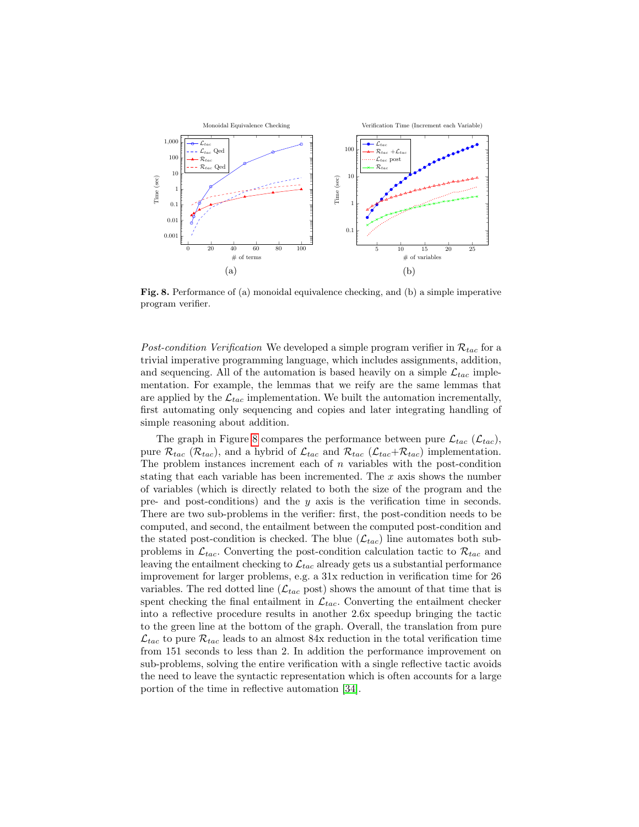

<span id="page-20-0"></span>Fig. 8. Performance of (a) monoidal equivalence checking, and (b) a simple imperative program verifier.

Post-condition Verification We developed a simple program verifier in  $\mathcal{R}_{tac}$  for a trivial imperative programming language, which includes assignments, addition, and sequencing. All of the automation is based heavily on a simple  $\mathcal{L}_{tac}$  implementation. For example, the lemmas that we reify are the same lemmas that are applied by the  $\mathcal{L}_{tac}$  implementation. We built the automation incrementally, first automating only sequencing and copies and later integrating handling of simple reasoning about addition.

The graph in Figure [8](#page-20-0) compares the performance between pure  $\mathcal{L}_{tac}$  ( $\mathcal{L}_{tac}$ ), pure  $\mathcal{R}_{tac}$  ( $\mathcal{R}_{tac}$ ), and a hybrid of  $\mathcal{L}_{tac}$  and  $\mathcal{R}_{tac}$  ( $\mathcal{L}_{tac}+\mathcal{R}_{tac}$ ) implementation. The problem instances increment each of  $n$  variables with the post-condition stating that each variable has been incremented. The  $x$  axis shows the number of variables (which is directly related to both the size of the program and the pre- and post-conditions) and the  $y$  axis is the verification time in seconds. There are two sub-problems in the verifier: first, the post-condition needs to be computed, and second, the entailment between the computed post-condition and the stated post-condition is checked. The blue  $(\mathcal{L}_{tac})$  line automates both subproblems in  $\mathcal{L}_{tac}$ . Converting the post-condition calculation tactic to  $\mathcal{R}_{tac}$  and leaving the entailment checking to  $\mathcal{L}_{tac}$  already gets us a substantial performance improvement for larger problems, e.g. a 31x reduction in verification time for 26 variables. The red dotted line ( $\mathcal{L}_{tac}$  post) shows the amount of that time that is spent checking the final entailment in  $\mathcal{L}_{tac}$ . Converting the entailment checker into a reflective procedure results in another 2.6x speedup bringing the tactic to the green line at the bottom of the graph. Overall, the translation from pure  $\mathcal{L}_{tac}$  to pure  $\mathcal{R}_{tac}$  leads to an almost 84x reduction in the total verification time from 151 seconds to less than 2. In addition the performance improvement on sub-problems, solving the entire verification with a single reflective tactic avoids the need to leave the syntactic representation which is often accounts for a large portion of the time in reflective automation [\[34\]](#page-26-9).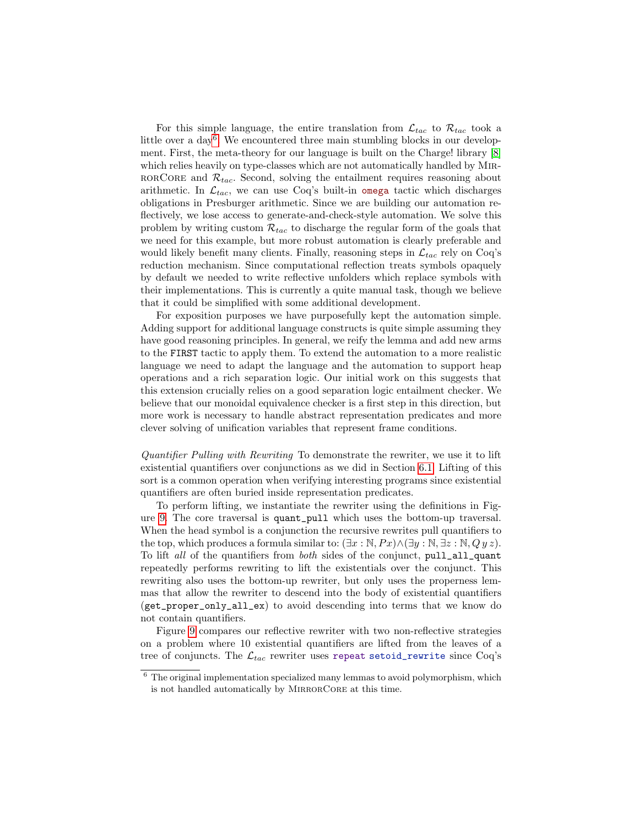For this simple language, the entire translation from  $\mathcal{L}_{tac}$  to  $\mathcal{R}_{tac}$  took a little over a day<sup>[6](#page-21-0)</sup>. We encountered three main stumbling blocks in our development. First, the meta-theory for our language is built on the Charge! library [\[8\]](#page-25-11) which relies heavily on type-classes which are not automatically handled by MIR-RORCORE and  $\mathcal{R}_{tac}$ . Second, solving the entailment requires reasoning about arithmetic. In  $\mathcal{L}_{tac}$ , we can use Coq's built-in omega tactic which discharges obligations in Presburger arithmetic. Since we are building our automation reflectively, we lose access to generate-and-check-style automation. We solve this problem by writing custom  $\mathcal{R}_{tac}$  to discharge the regular form of the goals that we need for this example, but more robust automation is clearly preferable and would likely benefit many clients. Finally, reasoning steps in  $\mathcal{L}_{tac}$  rely on Coq's reduction mechanism. Since computational reflection treats symbols opaquely by default we needed to write reflective unfolders which replace symbols with their implementations. This is currently a quite manual task, though we believe that it could be simplified with some additional development.

For exposition purposes we have purposefully kept the automation simple. Adding support for additional language constructs is quite simple assuming they have good reasoning principles. In general, we reify the lemma and add new arms to the FIRST tactic to apply them. To extend the automation to a more realistic language we need to adapt the language and the automation to support heap operations and a rich separation logic. Our initial work on this suggests that this extension crucially relies on a good separation logic entailment checker. We believe that our monoidal equivalence checker is a first step in this direction, but more work is necessary to handle abstract representation predicates and more clever solving of unification variables that represent frame conditions.

Quantifier Pulling with Rewriting To demonstrate the rewriter, we use it to lift existential quantifiers over conjunctions as we did in Section [6.1.](#page-14-0) Lifting of this sort is a common operation when verifying interesting programs since existential quantifiers are often buried inside representation predicates.

To perform lifting, we instantiate the rewriter using the definitions in Figure [9.](#page-22-1) The core traversal is quant\_pull which uses the bottom-up traversal. When the head symbol is a conjunction the recursive rewrites pull quantifiers to the top, which produces a formula similar to:  $(\exists x : \mathbb{N}, Px) \wedge (\exists y : \mathbb{N}, \exists z : \mathbb{N}, Q y z)$ . To lift all of the quantifiers from both sides of the conjunct, pull\_all\_quant repeatedly performs rewriting to lift the existentials over the conjunct. This rewriting also uses the bottom-up rewriter, but only uses the properness lemmas that allow the rewriter to descend into the body of existential quantifiers (get\_proper\_only\_all\_ex) to avoid descending into terms that we know do not contain quantifiers.

Figure [9](#page-22-1) compares our reflective rewriter with two non-reflective strategies on a problem where 10 existential quantifiers are lifted from the leaves of a tree of conjuncts. The  $\mathcal{L}_{tac}$  rewriter uses repeat setoid\_rewrite since Coq's

<span id="page-21-0"></span> $6$  The original implementation specialized many lemmas to avoid polymorphism, which is not handled automatically by MirrorCore at this time.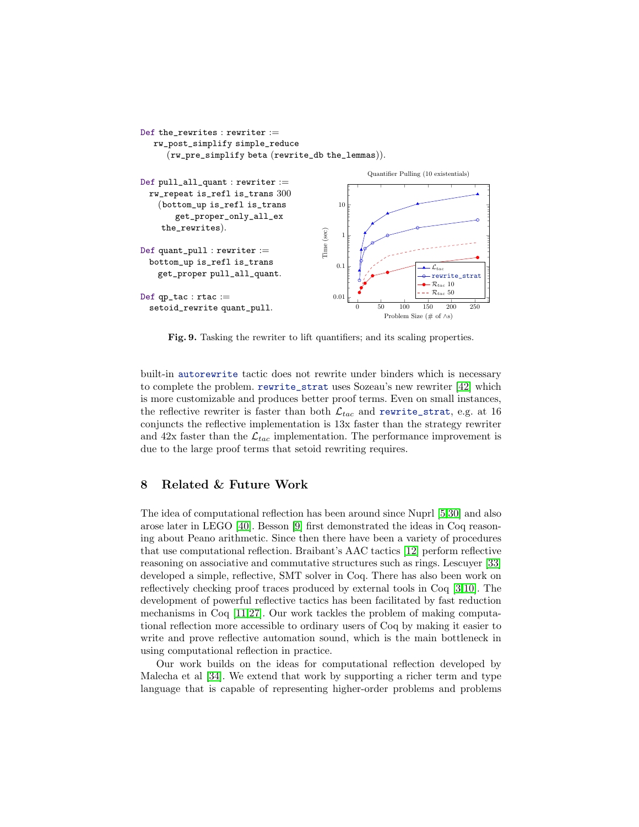

<span id="page-22-1"></span>Fig. 9. Tasking the rewriter to lift quantifiers; and its scaling properties.

built-in autorewrite tactic does not rewrite under binders which is necessary to complete the problem. rewrite\_strat uses Sozeau's new rewriter [\[42\]](#page-26-7) which is more customizable and produces better proof terms. Even on small instances, the reflective rewriter is faster than both  $\mathcal{L}_{tac}$  and rewrite\_strat, e.g. at 16 conjuncts the reflective implementation is 13x faster than the strategy rewriter and 42x faster than the  $\mathcal{L}_{tac}$  implementation. The performance improvement is due to the large proof terms that setoid rewriting requires.

### <span id="page-22-0"></span>8 Related & Future Work

The idea of computational reflection has been around since Nuprl [\[5,](#page-25-5)[30\]](#page-26-5) and also arose later in LEGO [\[40\]](#page-26-4). Besson [\[9\]](#page-25-3) first demonstrated the ideas in Coq reasoning about Peano arithmetic. Since then there have been a variety of procedures that use computational reflection. Braibant's AAC tactics [\[12\]](#page-25-12) perform reflective reasoning on associative and commutative structures such as rings. Lescuyer [\[33\]](#page-26-10) developed a simple, reflective, SMT solver in Coq. There has also been work on reflectively checking proof traces produced by external tools in Coq [\[3,](#page-25-13)[10\]](#page-25-14). The development of powerful reflective tactics has been facilitated by fast reduction mechanisms in Coq [\[11,](#page-25-15)[27\]](#page-26-8). Our work tackles the problem of making computational reflection more accessible to ordinary users of Coq by making it easier to write and prove reflective automation sound, which is the main bottleneck in using computational reflection in practice.

Our work builds on the ideas for computational reflection developed by Malecha et al [\[34\]](#page-26-9). We extend that work by supporting a richer term and type language that is capable of representing higher-order problems and problems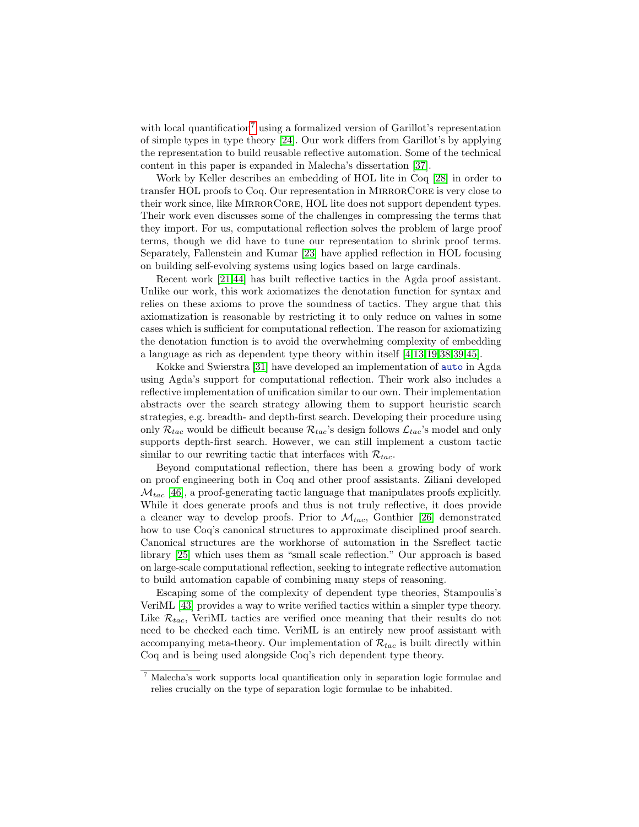with local quantification<sup>[7](#page-23-0)</sup> using a formalized version of Garillot's representation of simple types in type theory [\[24\]](#page-26-11). Our work differs from Garillot's by applying the representation to build reusable reflective automation. Some of the technical content in this paper is expanded in Malecha's dissertation [\[37\]](#page-26-12).

Work by Keller describes an embedding of HOL lite in Coq [\[28\]](#page-26-13) in order to transfer HOL proofs to Coq. Our representation in MirrorCore is very close to their work since, like MirrorCore, HOL lite does not support dependent types. Their work even discusses some of the challenges in compressing the terms that they import. For us, computational reflection solves the problem of large proof terms, though we did have to tune our representation to shrink proof terms. Separately, Fallenstein and Kumar [\[23\]](#page-25-16) have applied reflection in HOL focusing on building self-evolving systems using logics based on large cardinals.

Recent work [\[21,](#page-25-17)[44\]](#page-26-14) has built reflective tactics in the Agda proof assistant. Unlike our work, this work axiomatizes the denotation function for syntax and relies on these axioms to prove the soundness of tactics. They argue that this axiomatization is reasonable by restricting it to only reduce on values in some cases which is sufficient for computational reflection. The reason for axiomatizing the denotation function is to avoid the overwhelming complexity of embedding a language as rich as dependent type theory within itself [\[4](#page-25-18)[,13,](#page-25-19)[19,](#page-25-20)[38,](#page-26-15)[39,](#page-26-16)[45\]](#page-27-0).

Kokke and Swierstra [\[31\]](#page-26-17) have developed an implementation of auto in Agda using Agda's support for computational reflection. Their work also includes a reflective implementation of unification similar to our own. Their implementation abstracts over the search strategy allowing them to support heuristic search strategies, e.g. breadth- and depth-first search. Developing their procedure using only  $\mathcal{R}_{tac}$  would be difficult because  $\mathcal{R}_{tac}$ 's design follows  $\mathcal{L}_{tac}$ 's model and only supports depth-first search. However, we can still implement a custom tactic similar to our rewriting tactic that interfaces with  $\mathcal{R}_{tac}$ .

Beyond computational reflection, there has been a growing body of work on proof engineering both in Coq and other proof assistants. Ziliani developed  $\mathcal{M}_{tac}$  [\[46\]](#page-27-1), a proof-generating tactic language that manipulates proofs explicitly. While it does generate proofs and thus is not truly reflective, it does provide a cleaner way to develop proofs. Prior to  $\mathcal{M}_{tac}$ , Gonthier [\[26\]](#page-26-18) demonstrated how to use Coq's canonical structures to approximate disciplined proof search. Canonical structures are the workhorse of automation in the Ssreflect tactic library [\[25\]](#page-26-19) which uses them as "small scale reflection." Our approach is based on large-scale computational reflection, seeking to integrate reflective automation to build automation capable of combining many steps of reasoning.

Escaping some of the complexity of dependent type theories, Stampoulis's VeriML [\[43\]](#page-26-20) provides a way to write verified tactics within a simpler type theory. Like  $\mathcal{R}_{tac}$ , VeriML tactics are verified once meaning that their results do not need to be checked each time. VeriML is an entirely new proof assistant with accompanying meta-theory. Our implementation of  $\mathcal{R}_{tac}$  is built directly within Coq and is being used alongside Coq's rich dependent type theory.

<span id="page-23-0"></span><sup>7</sup> Malecha's work supports local quantification only in separation logic formulae and relies crucially on the type of separation logic formulae to be inhabited.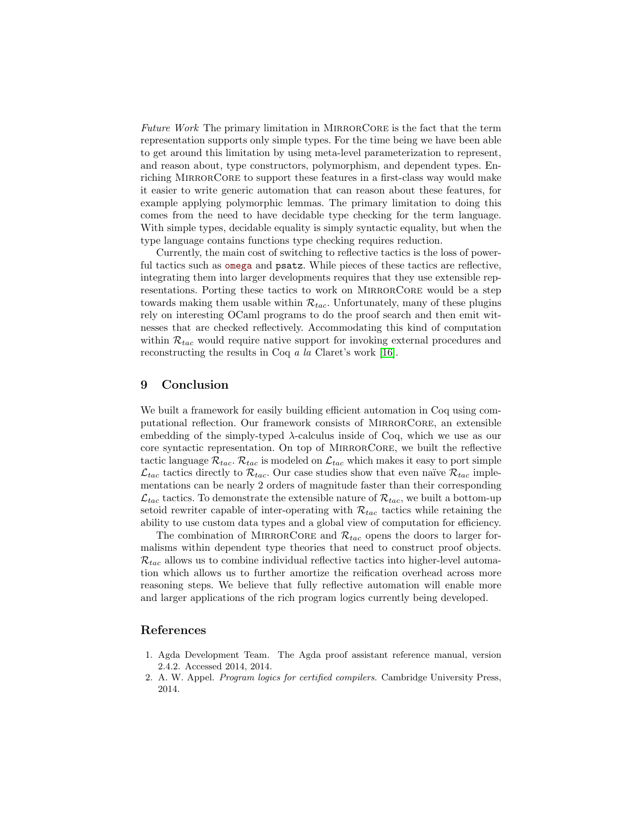Future Work The primary limitation in MIRRORCORE is the fact that the term representation supports only simple types. For the time being we have been able to get around this limitation by using meta-level parameterization to represent, and reason about, type constructors, polymorphism, and dependent types. Enriching MirrorCore to support these features in a first-class way would make it easier to write generic automation that can reason about these features, for example applying polymorphic lemmas. The primary limitation to doing this comes from the need to have decidable type checking for the term language. With simple types, decidable equality is simply syntactic equality, but when the type language contains functions type checking requires reduction.

Currently, the main cost of switching to reflective tactics is the loss of powerful tactics such as omega and psatz. While pieces of these tactics are reflective, integrating them into larger developments requires that they use extensible representations. Porting these tactics to work on MIRRORCORE would be a step towards making them usable within  $\mathcal{R}_{tac}$ . Unfortunately, many of these plugins rely on interesting OCaml programs to do the proof search and then emit witnesses that are checked reflectively. Accommodating this kind of computation within  $\mathcal{R}_{tac}$  would require native support for invoking external procedures and reconstructing the results in Coq a la Claret's work [\[16\]](#page-25-10).

## 9 Conclusion

We built a framework for easily building efficient automation in Coq using computational reflection. Our framework consists of MirrorCore, an extensible embedding of the simply-typed  $\lambda$ -calculus inside of Coq, which we use as our core syntactic representation. On top of MirrorCore, we built the reflective tactic language  $\mathcal{R}_{tac}$ .  $\mathcal{R}_{tac}$  is modeled on  $\mathcal{L}_{tac}$  which makes it easy to port simple  $\mathcal{L}_{tac}$  tactics directly to  $\mathcal{R}_{tac}$ . Our case studies show that even naïve  $\mathcal{R}_{tac}$  implementations can be nearly 2 orders of magnitude faster than their corresponding  $\mathcal{L}_{tac}$  tactics. To demonstrate the extensible nature of  $\mathcal{R}_{tac}$ , we built a bottom-up setoid rewriter capable of inter-operating with  $\mathcal{R}_{tac}$  tactics while retaining the ability to use custom data types and a global view of computation for efficiency.

The combination of MIRRORCORE and  $\mathcal{R}_{tac}$  opens the doors to larger formalisms within dependent type theories that need to construct proof objects.  $\mathcal{R}_{tac}$  allows us to combine individual reflective tactics into higher-level automation which allows us to further amortize the reification overhead across more reasoning steps. We believe that fully reflective automation will enable more and larger applications of the rich program logics currently being developed.

### References

- <span id="page-24-0"></span>1. Agda Development Team. The Agda proof assistant reference manual, version 2.4.2. Accessed 2014, 2014.
- <span id="page-24-1"></span>2. A. W. Appel. Program logics for certified compilers. Cambridge University Press, 2014.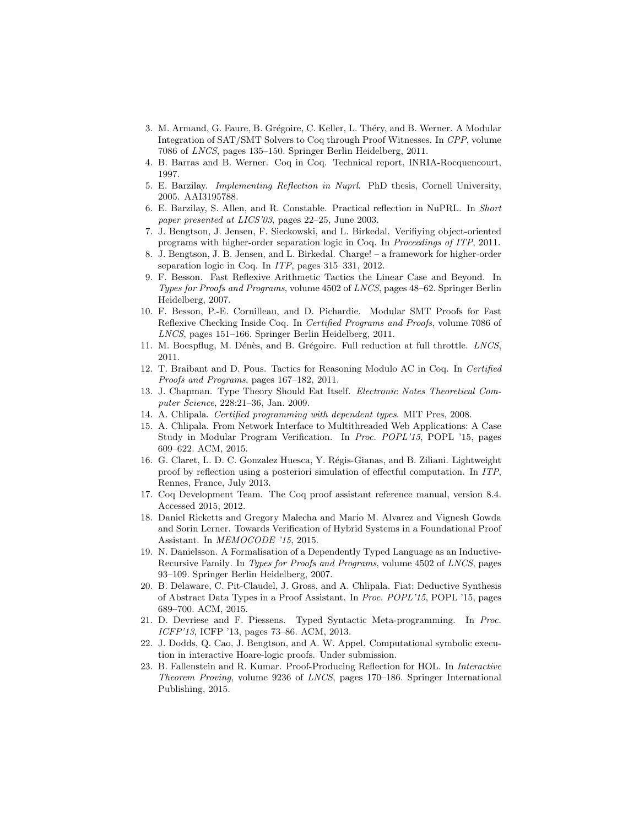- <span id="page-25-13"></span>3. M. Armand, G. Faure, B. Grégoire, C. Keller, L. Théry, and B. Werner. A Modular Integration of SAT/SMT Solvers to Coq through Proof Witnesses. In CPP, volume 7086 of LNCS, pages 135–150. Springer Berlin Heidelberg, 2011.
- <span id="page-25-18"></span>4. B. Barras and B. Werner. Coq in Coq. Technical report, INRIA-Rocquencourt, 1997.
- <span id="page-25-5"></span>5. E. Barzilay. Implementing Reflection in Nuprl. PhD thesis, Cornell University, 2005. AAI3195788.
- <span id="page-25-4"></span>6. E. Barzilay, S. Allen, and R. Constable. Practical reflection in NuPRL. In Short paper presented at LICS'03, pages 22–25, June 2003.
- <span id="page-25-9"></span>7. J. Bengtson, J. Jensen, F. Sieckowski, and L. Birkedal. Verifiying object-oriented programs with higher-order separation logic in Coq. In Proceedings of ITP, 2011.
- <span id="page-25-11"></span>8. J. Bengtson, J. B. Jensen, and L. Birkedal. Charge! – a framework for higher-order separation logic in Coq. In ITP, pages 315–331, 2012.
- <span id="page-25-3"></span>9. F. Besson. Fast Reflexive Arithmetic Tactics the Linear Case and Beyond. In Types for Proofs and Programs, volume 4502 of LNCS, pages 48–62. Springer Berlin Heidelberg, 2007.
- <span id="page-25-14"></span>10. F. Besson, P.-E. Cornilleau, and D. Pichardie. Modular SMT Proofs for Fast Reflexive Checking Inside Coq. In Certified Programs and Proofs, volume 7086 of LNCS, pages 151–166. Springer Berlin Heidelberg, 2011.
- <span id="page-25-15"></span>11. M. Boespflug, M. Dénès, and B. Grégoire. Full reduction at full throttle. LNCS, 2011.
- <span id="page-25-12"></span>12. T. Braibant and D. Pous. Tactics for Reasoning Modulo AC in Coq. In Certified Proofs and Programs, pages 167–182, 2011.
- <span id="page-25-19"></span>13. J. Chapman. Type Theory Should Eat Itself. Electronic Notes Theoretical Computer Science, 228:21–36, Jan. 2009.
- <span id="page-25-6"></span>14. A. Chlipala. Certified programming with dependent types. MIT Pres, 2008.
- <span id="page-25-2"></span>15. A. Chlipala. From Network Interface to Multithreaded Web Applications: A Case Study in Modular Program Verification. In Proc. POPL'15, POPL '15, pages 609–622. ACM, 2015.
- <span id="page-25-10"></span>16. G. Claret, L. D. C. Gonzalez Huesca, Y. Régis-Gianas, and B. Ziliani. Lightweight proof by reflection using a posteriori simulation of effectful computation. In ITP, Rennes, France, July 2013.
- <span id="page-25-1"></span>17. Coq Development Team. The Coq proof assistant reference manual, version 8.4. Accessed 2015, 2012.
- <span id="page-25-0"></span>18. Daniel Ricketts and Gregory Malecha and Mario M. Alvarez and Vignesh Gowda and Sorin Lerner. Towards Verification of Hybrid Systems in a Foundational Proof Assistant. In MEMOCODE '15, 2015.
- <span id="page-25-20"></span>19. N. Danielsson. A Formalisation of a Dependently Typed Language as an Inductive-Recursive Family. In Types for Proofs and Programs, volume 4502 of LNCS, pages 93–109. Springer Berlin Heidelberg, 2007.
- <span id="page-25-7"></span>20. B. Delaware, C. Pit-Claudel, J. Gross, and A. Chlipala. Fiat: Deductive Synthesis of Abstract Data Types in a Proof Assistant. In Proc. POPL'15, POPL '15, pages 689–700. ACM, 2015.
- <span id="page-25-17"></span>21. D. Devriese and F. Piessens. Typed Syntactic Meta-programming. In Proc. ICFP'13, ICFP '13, pages 73–86. ACM, 2013.
- <span id="page-25-8"></span>22. J. Dodds, Q. Cao, J. Bengtson, and A. W. Appel. Computational symbolic execution in interactive Hoare-logic proofs. Under submission.
- <span id="page-25-16"></span>23. B. Fallenstein and R. Kumar. Proof-Producing Reflection for HOL. In Interactive Theorem Proving, volume 9236 of LNCS, pages 170–186. Springer International Publishing, 2015.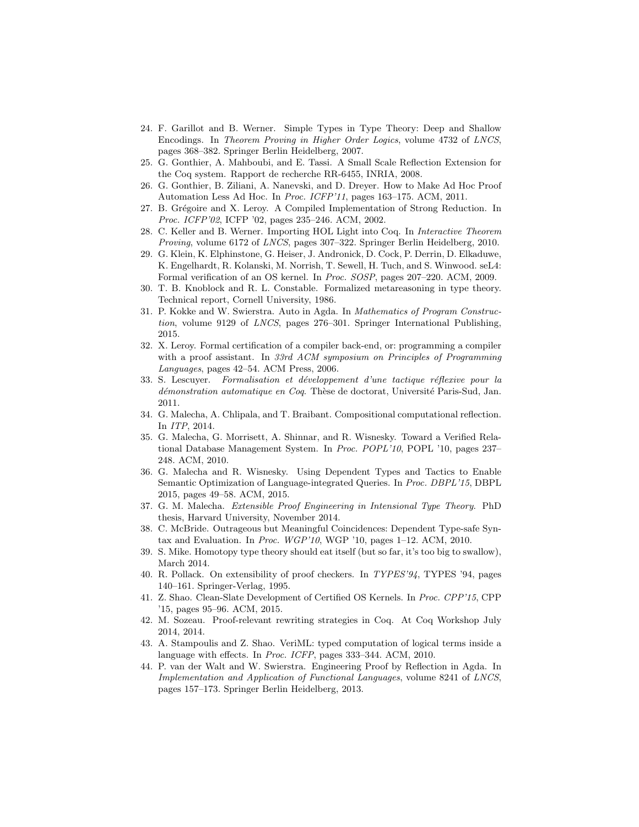- <span id="page-26-11"></span>24. F. Garillot and B. Werner. Simple Types in Type Theory: Deep and Shallow Encodings. In Theorem Proving in Higher Order Logics, volume 4732 of LNCS, pages 368–382. Springer Berlin Heidelberg, 2007.
- <span id="page-26-19"></span>25. G. Gonthier, A. Mahboubi, and E. Tassi. A Small Scale Reflection Extension for the Coq system. Rapport de recherche RR-6455, INRIA, 2008.
- <span id="page-26-18"></span>26. G. Gonthier, B. Ziliani, A. Nanevski, and D. Dreyer. How to Make Ad Hoc Proof Automation Less Ad Hoc. In Proc. ICFP'11, pages 163–175. ACM, 2011.
- <span id="page-26-8"></span>27. B. Grégoire and X. Leroy. A Compiled Implementation of Strong Reduction. In Proc. ICFP'02, ICFP '02, pages 235–246. ACM, 2002.
- <span id="page-26-13"></span>28. C. Keller and B. Werner. Importing HOL Light into Coq. In Interactive Theorem Proving, volume 6172 of LNCS, pages 307–322. Springer Berlin Heidelberg, 2010.
- <span id="page-26-0"></span>29. G. Klein, K. Elphinstone, G. Heiser, J. Andronick, D. Cock, P. Derrin, D. Elkaduwe, K. Engelhardt, R. Kolanski, M. Norrish, T. Sewell, H. Tuch, and S. Winwood. seL4: Formal verification of an OS kernel. In Proc. SOSP, pages 207–220. ACM, 2009.
- <span id="page-26-5"></span>30. T. B. Knoblock and R. L. Constable. Formalized metareasoning in type theory. Technical report, Cornell University, 1986.
- <span id="page-26-17"></span>31. P. Kokke and W. Swierstra. Auto in Agda. In Mathematics of Program Construction, volume 9129 of LNCS, pages 276–301. Springer International Publishing, 2015.
- <span id="page-26-1"></span>32. X. Leroy. Formal certification of a compiler back-end, or: programming a compiler with a proof assistant. In 33rd ACM symposium on Principles of Programming Languages, pages 42–54. ACM Press, 2006.
- <span id="page-26-10"></span>33. S. Lescuyer. Formalisation et développement d'une tactique réflexive pour la démonstration automatique en Coq. Thèse de doctorat, Université Paris-Sud, Jan. 2011.
- <span id="page-26-9"></span>34. G. Malecha, A. Chlipala, and T. Braibant. Compositional computational reflection. In ITP, 2014.
- <span id="page-26-2"></span>35. G. Malecha, G. Morrisett, A. Shinnar, and R. Wisnesky. Toward a Verified Relational Database Management System. In Proc. POPL'10, POPL '10, pages 237– 248. ACM, 2010.
- <span id="page-26-6"></span>36. G. Malecha and R. Wisnesky. Using Dependent Types and Tactics to Enable Semantic Optimization of Language-integrated Queries. In Proc. DBPL'15, DBPL 2015, pages 49–58. ACM, 2015.
- <span id="page-26-12"></span>37. G. M. Malecha. Extensible Proof Engineering in Intensional Type Theory. PhD thesis, Harvard University, November 2014.
- <span id="page-26-15"></span>38. C. McBride. Outrageous but Meaningful Coincidences: Dependent Type-safe Syntax and Evaluation. In Proc.  $WGP'10$ , WGP '10, pages 1-12. ACM, 2010.
- <span id="page-26-16"></span>39. S. Mike. Homotopy type theory should eat itself (but so far, it's too big to swallow), March 2014.
- <span id="page-26-4"></span>40. R. Pollack. On extensibility of proof checkers. In TYPES'94, TYPES '94, pages 140–161. Springer-Verlag, 1995.
- <span id="page-26-3"></span>41. Z. Shao. Clean-Slate Development of Certified OS Kernels. In Proc. CPP'15, CPP '15, pages 95–96. ACM, 2015.
- <span id="page-26-7"></span>42. M. Sozeau. Proof-relevant rewriting strategies in Coq. At Coq Workshop July 2014, 2014.
- <span id="page-26-20"></span>43. A. Stampoulis and Z. Shao. VeriML: typed computation of logical terms inside a language with effects. In Proc. ICFP, pages 333–344. ACM, 2010.
- <span id="page-26-14"></span>44. P. van der Walt and W. Swierstra. Engineering Proof by Reflection in Agda. In Implementation and Application of Functional Languages, volume 8241 of LNCS, pages 157–173. Springer Berlin Heidelberg, 2013.